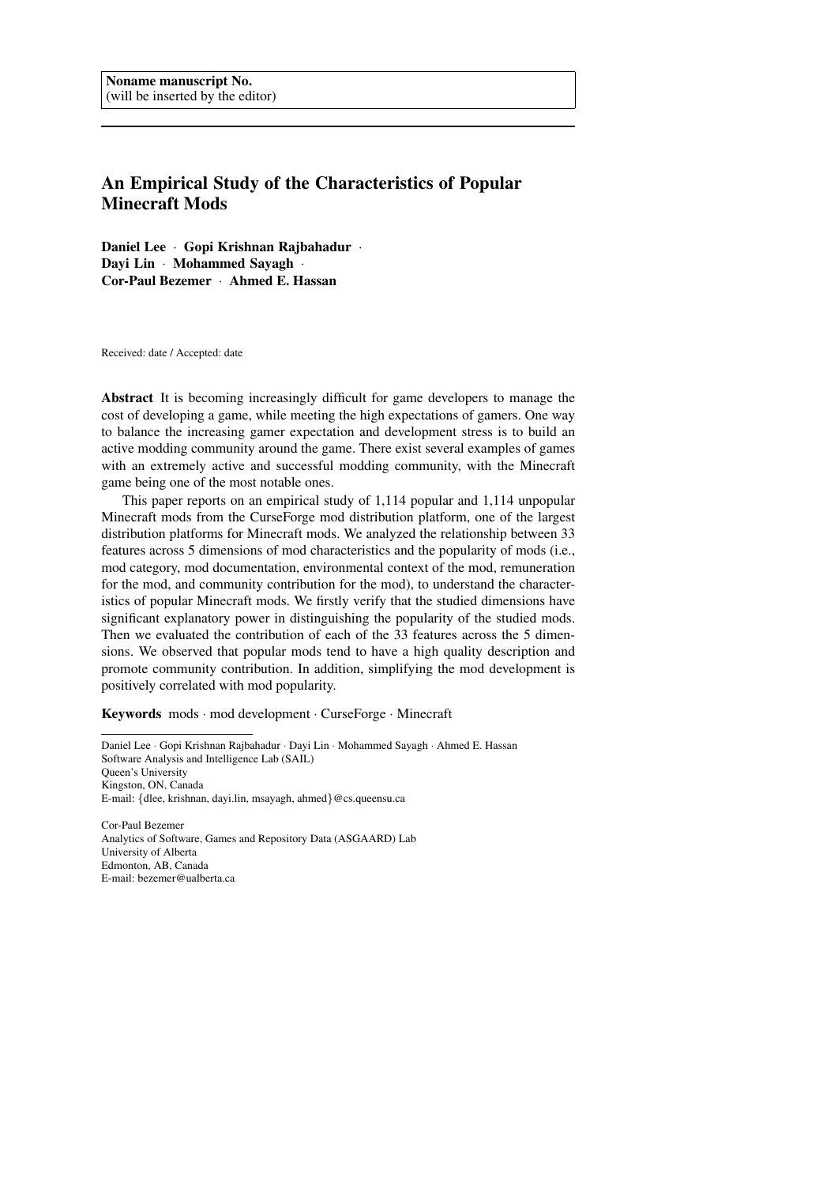# An Empirical Study of the Characteristics of Popular Minecraft Mods

Daniel Lee · Gopi Krishnan Rajbahadur · Dayi Lin · Mohammed Sayagh · Cor-Paul Bezemer · Ahmed E. Hassan

Received: date / Accepted: date

Abstract It is becoming increasingly difficult for game developers to manage the cost of developing a game, while meeting the high expectations of gamers. One way to balance the increasing gamer expectation and development stress is to build an active modding community around the game. There exist several examples of games with an extremely active and successful modding community, with the Minecraft game being one of the most notable ones.

This paper reports on an empirical study of 1,114 popular and 1,114 unpopular Minecraft mods from the CurseForge mod distribution platform, one of the largest distribution platforms for Minecraft mods. We analyzed the relationship between 33 features across 5 dimensions of mod characteristics and the popularity of mods (i.e., mod category, mod documentation, environmental context of the mod, remuneration for the mod, and community contribution for the mod), to understand the characteristics of popular Minecraft mods. We firstly verify that the studied dimensions have significant explanatory power in distinguishing the popularity of the studied mods. Then we evaluated the contribution of each of the 33 features across the 5 dimensions. We observed that popular mods tend to have a high quality description and promote community contribution. In addition, simplifying the mod development is positively correlated with mod popularity.

Keywords mods · mod development · CurseForge · Minecraft

Daniel Lee · Gopi Krishnan Rajbahadur · Dayi Lin · Mohammed Sayagh · Ahmed E. Hassan Software Analysis and Intelligence Lab (SAIL) Queen's University Kingston, ON, Canada E-mail: {dlee, krishnan, dayi.lin, msayagh, ahmed}@cs.queensu.ca

Cor-Paul Bezemer Analytics of Software, Games and Repository Data (ASGAARD) Lab University of Alberta Edmonton, AB, Canada E-mail: bezemer@ualberta.ca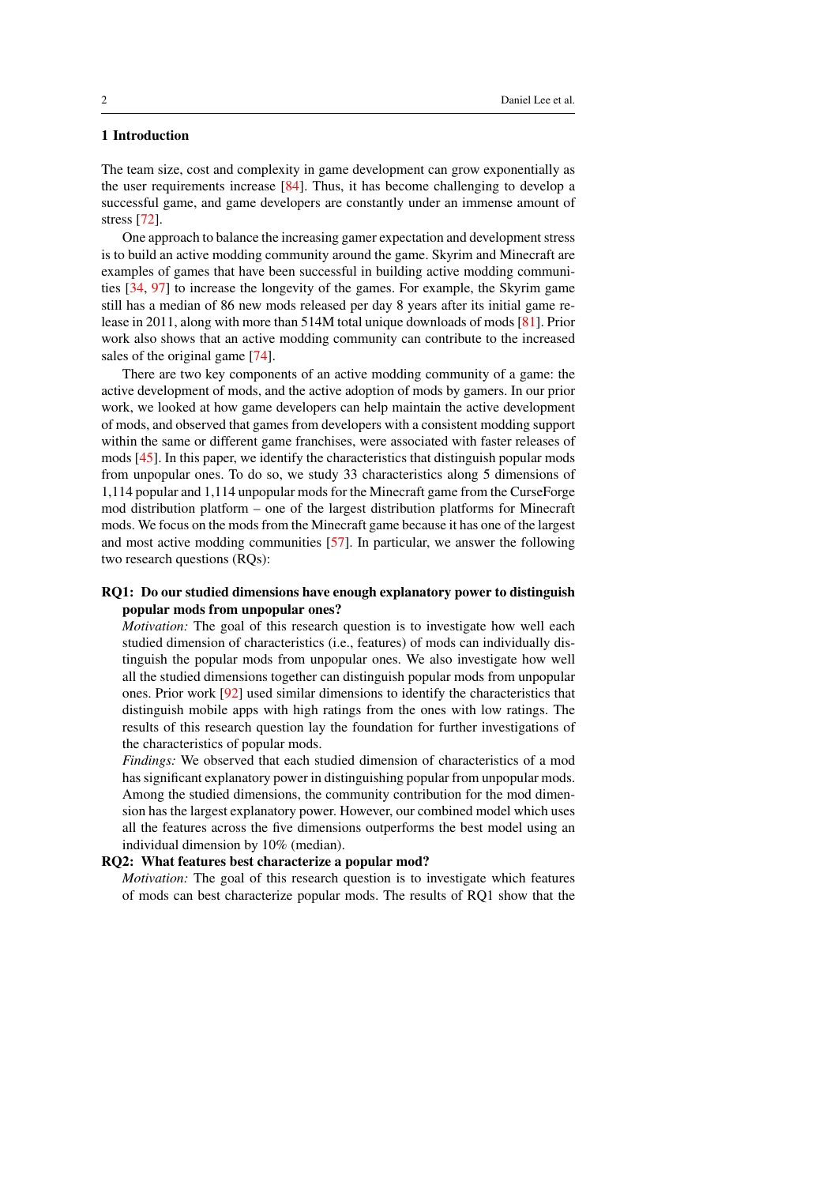# 1 Introduction

The team size, cost and complexity in game development can grow exponentially as the user requirements increase [\[84\]](#page-30-0). Thus, it has become challenging to develop a successful game, and game developers are constantly under an immense amount of stress [\[72\]](#page-29-0).

One approach to balance the increasing gamer expectation and development stress is to build an active modding community around the game. Skyrim and Minecraft are examples of games that have been successful in building active modding communities [\[34,](#page-26-0) [97\]](#page-30-1) to increase the longevity of the games. For example, the Skyrim game still has a median of 86 new mods released per day 8 years after its initial game release in 2011, along with more than 514M total unique downloads of mods [\[81\]](#page-29-1). Prior work also shows that an active modding community can contribute to the increased sales of the original game [\[74\]](#page-29-2).

There are two key components of an active modding community of a game: the active development of mods, and the active adoption of mods by gamers. In our prior work, we looked at how game developers can help maintain the active development of mods, and observed that games from developers with a consistent modding support within the same or different game franchises, were associated with faster releases of mods [\[45\]](#page-27-0). In this paper, we identify the characteristics that distinguish popular mods from unpopular ones. To do so, we study 33 characteristics along 5 dimensions of 1,114 popular and 1,114 unpopular mods for the Minecraft game from the CurseForge mod distribution platform – one of the largest distribution platforms for Minecraft mods. We focus on the mods from the Minecraft game because it has one of the largest and most active modding communities [\[57\]](#page-28-0). In particular, we answer the following two research questions (RQs):

# RQ1: Do our studied dimensions have enough explanatory power to distinguish popular mods from unpopular ones?

*Motivation:* The goal of this research question is to investigate how well each studied dimension of characteristics (i.e., features) of mods can individually distinguish the popular mods from unpopular ones. We also investigate how well all the studied dimensions together can distinguish popular mods from unpopular ones. Prior work [\[92\]](#page-30-2) used similar dimensions to identify the characteristics that distinguish mobile apps with high ratings from the ones with low ratings. The results of this research question lay the foundation for further investigations of the characteristics of popular mods.

*Findings:* We observed that each studied dimension of characteristics of a mod has significant explanatory power in distinguishing popular from unpopular mods. Among the studied dimensions, the community contribution for the mod dimension has the largest explanatory power. However, our combined model which uses all the features across the five dimensions outperforms the best model using an individual dimension by 10% (median).

#### RQ2: What features best characterize a popular mod?

*Motivation:* The goal of this research question is to investigate which features of mods can best characterize popular mods. The results of RQ1 show that the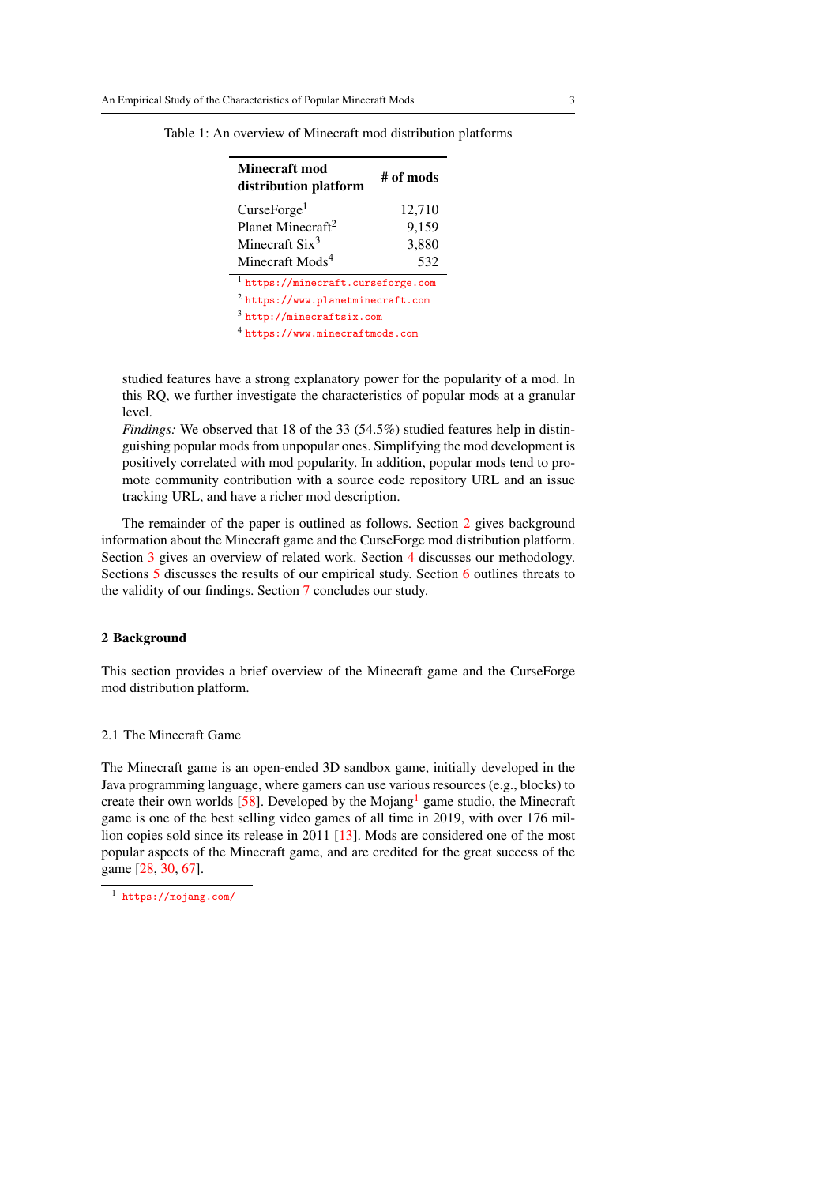| <b>Minecraft mod</b><br>distribution platform | # of mods |  |  |  |
|-----------------------------------------------|-----------|--|--|--|
| CurseForge <sup>1</sup>                       | 12,710    |  |  |  |
| Planet Minecraft <sup>2</sup>                 | 9,159     |  |  |  |
| Minecraft $Six^3$                             | 3,880     |  |  |  |
| Minecraft Mods <sup>4</sup>                   | 532       |  |  |  |
| <sup>1</sup> https://minecraft.curseforge.com |           |  |  |  |
| $2$ https://www.planetminecraft.com           |           |  |  |  |
| $3$ http://minecraftsix.com                   |           |  |  |  |
| $4$ https://www.minecraftmods.com             |           |  |  |  |

<span id="page-2-2"></span>Table 1: An overview of Minecraft mod distribution platforms

studied features have a strong explanatory power for the popularity of a mod. In this RQ, we further investigate the characteristics of popular mods at a granular level.

*Findings:* We observed that 18 of the 33 (54.5%) studied features help in distinguishing popular mods from unpopular ones. Simplifying the mod development is positively correlated with mod popularity. In addition, popular mods tend to promote community contribution with a source code repository URL and an issue tracking URL, and have a richer mod description.

The remainder of the paper is outlined as follows. Section [2](#page-2-0) gives background information about the Minecraft game and the CurseForge mod distribution platform. Section [3](#page-3-0) gives an overview of related work. Section [4](#page-8-0) discusses our methodology. Sections [5](#page-10-0) discusses the results of our empirical study. Section [6](#page-23-0) outlines threats to the validity of our findings. Section [7](#page-24-0) concludes our study.

#### <span id="page-2-0"></span>2 Background

This section provides a brief overview of the Minecraft game and the CurseForge mod distribution platform.

## 2.1 The Minecraft Game

The Minecraft game is an open-ended 3D sandbox game, initially developed in the Java programming language, where gamers can use various resources (e.g., blocks) to create their own worlds [\[58\]](#page-28-1). Developed by the Mojang<sup>[1](#page-2-1)</sup> game studio, the Minecraft game is one of the best selling video games of all time in 2019, with over 176 million copies sold since its release in 2011 [\[13\]](#page-25-0). Mods are considered one of the most popular aspects of the Minecraft game, and are credited for the great success of the game [\[28,](#page-26-1) [30,](#page-26-2) [67\]](#page-29-3).

<span id="page-2-1"></span><sup>1</sup> <https://mojang.com/>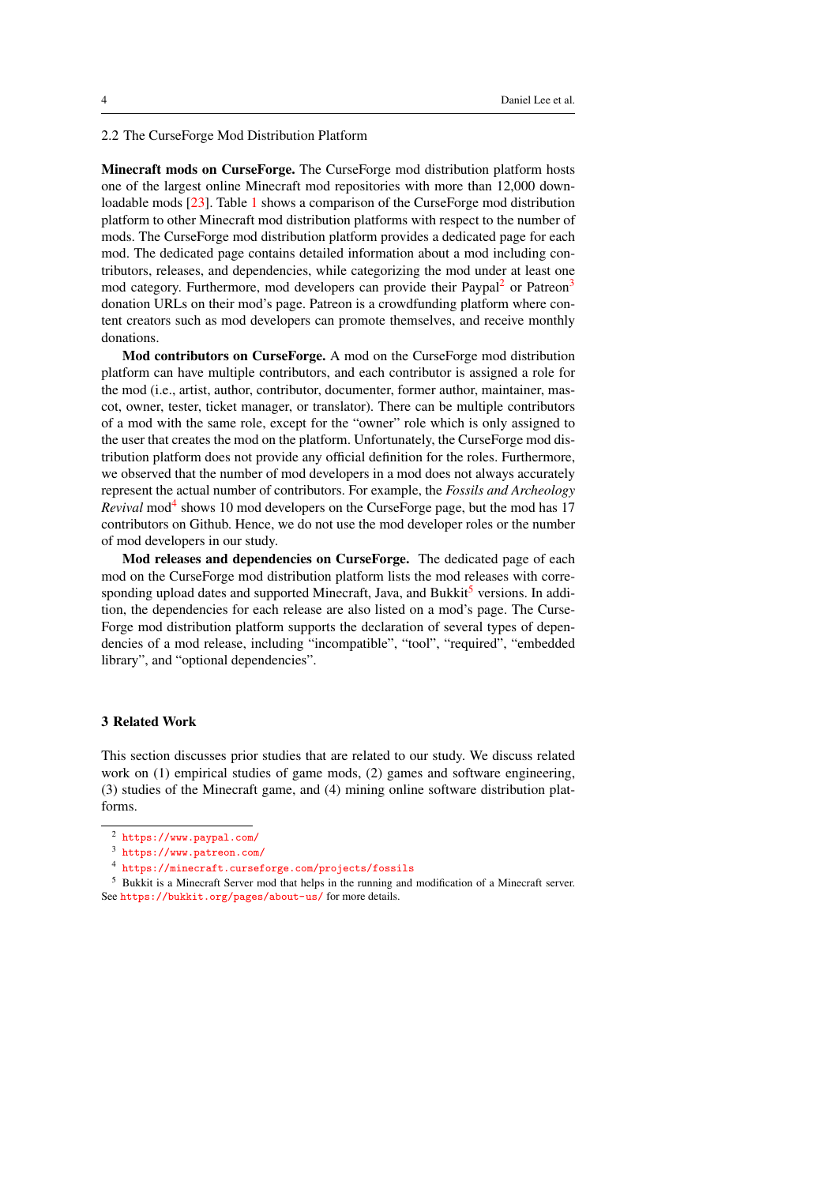2.2 The CurseForge Mod Distribution Platform

Minecraft mods on CurseForge. The CurseForge mod distribution platform hosts one of the largest online Minecraft mod repositories with more than 12,000 downloadable mods [\[23\]](#page-26-3). Table [1](#page-2-2) shows a comparison of the CurseForge mod distribution platform to other Minecraft mod distribution platforms with respect to the number of mods. The CurseForge mod distribution platform provides a dedicated page for each mod. The dedicated page contains detailed information about a mod including contributors, releases, and dependencies, while categorizing the mod under at least one mod category. Furthermore, mod developers can provide their Paypal<sup>[2](#page-3-1)</sup> or Patreon<sup>[3](#page-3-2)</sup> donation URLs on their mod's page. Patreon is a crowdfunding platform where content creators such as mod developers can promote themselves, and receive monthly donations.

Mod contributors on CurseForge. A mod on the CurseForge mod distribution platform can have multiple contributors, and each contributor is assigned a role for the mod (i.e., artist, author, contributor, documenter, former author, maintainer, mascot, owner, tester, ticket manager, or translator). There can be multiple contributors of a mod with the same role, except for the "owner" role which is only assigned to the user that creates the mod on the platform. Unfortunately, the CurseForge mod distribution platform does not provide any official definition for the roles. Furthermore, we observed that the number of mod developers in a mod does not always accurately represent the actual number of contributors. For example, the *Fossils and Archeology* Revival mod<sup>[4](#page-3-3)</sup> shows 10 mod developers on the CurseForge page, but the mod has 17 contributors on Github. Hence, we do not use the mod developer roles or the number of mod developers in our study.

Mod releases and dependencies on CurseForge. The dedicated page of each mod on the CurseForge mod distribution platform lists the mod releases with corre-sponding upload dates and supported Minecraft, Java, and Bukkit<sup>[5](#page-3-4)</sup> versions. In addition, the dependencies for each release are also listed on a mod's page. The Curse-Forge mod distribution platform supports the declaration of several types of dependencies of a mod release, including "incompatible", "tool", "required", "embedded library", and "optional dependencies".

#### <span id="page-3-0"></span>3 Related Work

This section discusses prior studies that are related to our study. We discuss related work on (1) empirical studies of game mods, (2) games and software engineering, (3) studies of the Minecraft game, and (4) mining online software distribution platforms.

<span id="page-3-1"></span><sup>2</sup> <https://www.paypal.com/>

<span id="page-3-2"></span><sup>3</sup> <https://www.patreon.com/>

<span id="page-3-4"></span><span id="page-3-3"></span><sup>4</sup> <https://minecraft.curseforge.com/projects/fossils>

<sup>5</sup> Bukkit is a Minecraft Server mod that helps in the running and modification of a Minecraft server. See <https://bukkit.org/pages/about-us/> for more details.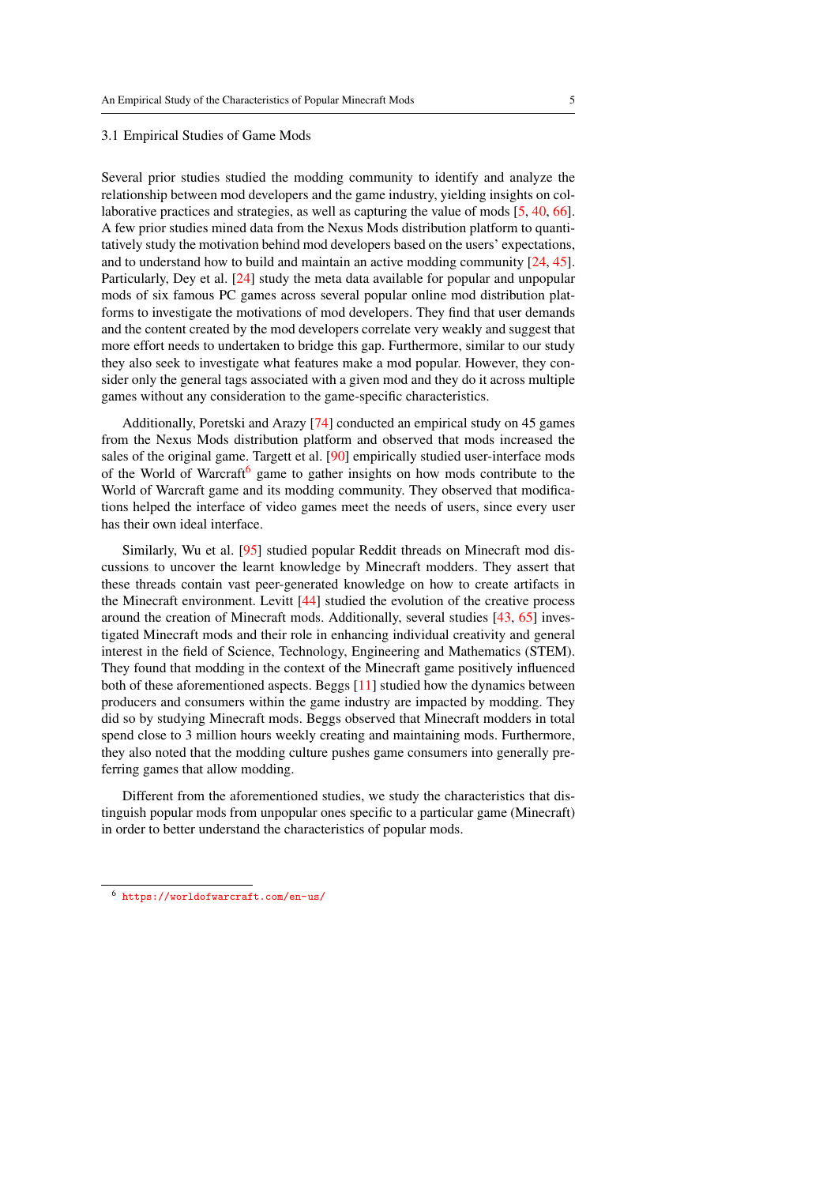#### 3.1 Empirical Studies of Game Mods

Several prior studies studied the modding community to identify and analyze the relationship between mod developers and the game industry, yielding insights on collaborative practices and strategies, as well as capturing the value of mods [\[5,](#page-25-1) [40,](#page-27-1) [66\]](#page-28-2). A few prior studies mined data from the Nexus Mods distribution platform to quantitatively study the motivation behind mod developers based on the users' expectations, and to understand how to build and maintain an active modding community [\[24,](#page-26-4) [45\]](#page-27-0). Particularly, Dey et al. [\[24\]](#page-26-4) study the meta data available for popular and unpopular mods of six famous PC games across several popular online mod distribution platforms to investigate the motivations of mod developers. They find that user demands and the content created by the mod developers correlate very weakly and suggest that more effort needs to undertaken to bridge this gap. Furthermore, similar to our study they also seek to investigate what features make a mod popular. However, they consider only the general tags associated with a given mod and they do it across multiple games without any consideration to the game-specific characteristics.

Additionally, Poretski and Arazy [\[74\]](#page-29-2) conducted an empirical study on 45 games from the Nexus Mods distribution platform and observed that mods increased the sales of the original game. Targett et al. [\[90\]](#page-30-3) empirically studied user-interface mods of the World of Warcraft<sup>[6](#page-4-0)</sup> game to gather insights on how mods contribute to the World of Warcraft game and its modding community. They observed that modifications helped the interface of video games meet the needs of users, since every user has their own ideal interface.

Similarly, Wu et al. [\[95\]](#page-30-4) studied popular Reddit threads on Minecraft mod discussions to uncover the learnt knowledge by Minecraft modders. They assert that these threads contain vast peer-generated knowledge on how to create artifacts in the Minecraft environment. Levitt [\[44\]](#page-27-2) studied the evolution of the creative process around the creation of Minecraft mods. Additionally, several studies [\[43,](#page-27-3) [65\]](#page-28-3) investigated Minecraft mods and their role in enhancing individual creativity and general interest in the field of Science, Technology, Engineering and Mathematics (STEM). They found that modding in the context of the Minecraft game positively influenced both of these aforementioned aspects. Beggs [\[11\]](#page-25-2) studied how the dynamics between producers and consumers within the game industry are impacted by modding. They did so by studying Minecraft mods. Beggs observed that Minecraft modders in total spend close to 3 million hours weekly creating and maintaining mods. Furthermore, they also noted that the modding culture pushes game consumers into generally preferring games that allow modding.

Different from the aforementioned studies, we study the characteristics that distinguish popular mods from unpopular ones specific to a particular game (Minecraft) in order to better understand the characteristics of popular mods.

<span id="page-4-0"></span><sup>6</sup> <https://worldofwarcraft.com/en-us/>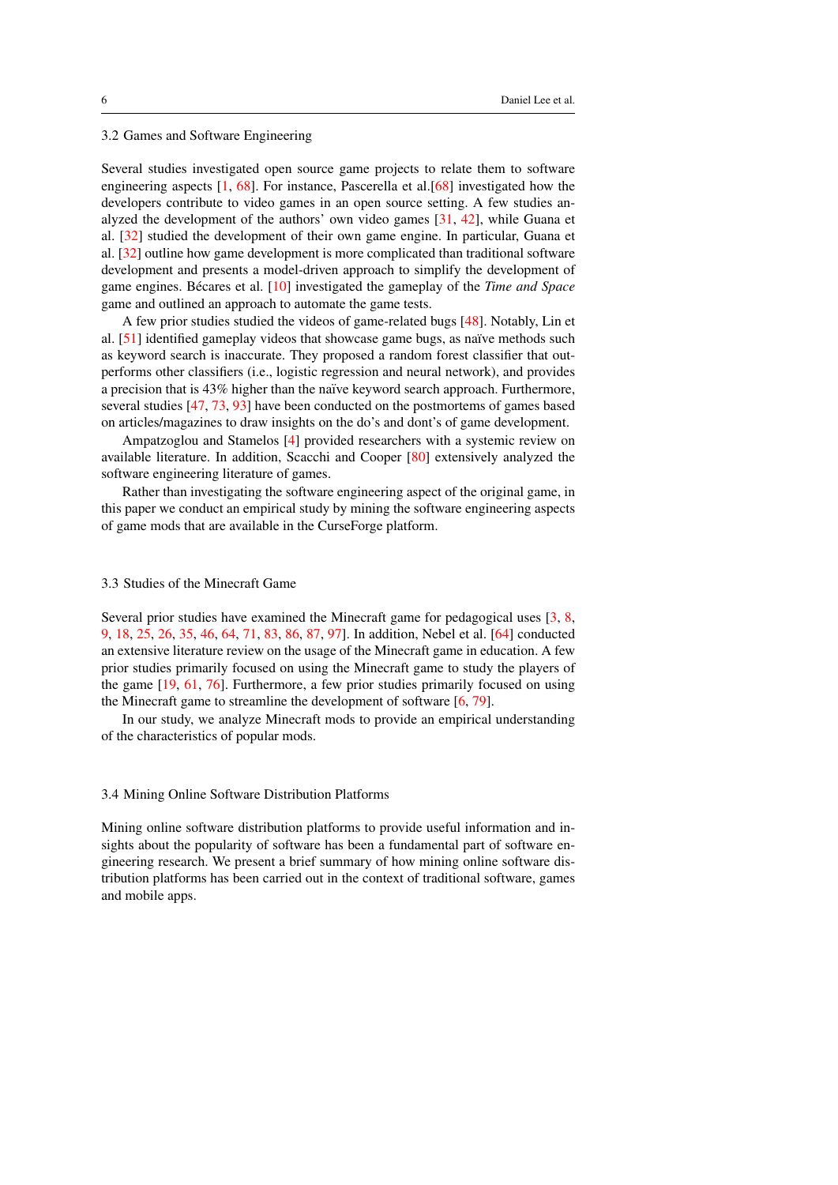## 3.2 Games and Software Engineering

Several studies investigated open source game projects to relate them to software engineering aspects [\[1,](#page-24-1) [68\]](#page-29-4). For instance, Pascerella et al.[\[68\]](#page-29-4) investigated how the developers contribute to video games in an open source setting. A few studies analyzed the development of the authors' own video games [\[31,](#page-26-5) [42\]](#page-27-4), while Guana et al. [\[32\]](#page-26-6) studied the development of their own game engine. In particular, Guana et al. [\[32\]](#page-26-6) outline how game development is more complicated than traditional software development and presents a model-driven approach to simplify the development of game engines. Bécares et al. [[10\]](#page-25-3) investigated the gameplay of the *Time and Space* game and outlined an approach to automate the game tests.

A few prior studies studied the videos of game-related bugs [\[48\]](#page-27-5). Notably, Lin et al.  $[51]$  identified gameplay videos that showcase game bugs, as naïve methods such as keyword search is inaccurate. They proposed a random forest classifier that outperforms other classifiers (i.e., logistic regression and neural network), and provides a precision that is 43% higher than the na¨ıve keyword search approach. Furthermore, several studies [\[47,](#page-27-6) [73,](#page-29-5) [93\]](#page-30-5) have been conducted on the postmortems of games based on articles/magazines to draw insights on the do's and dont's of game development.

Ampatzoglou and Stamelos [\[4\]](#page-25-4) provided researchers with a systemic review on available literature. In addition, Scacchi and Cooper [\[80\]](#page-29-6) extensively analyzed the software engineering literature of games.

Rather than investigating the software engineering aspect of the original game, in this paper we conduct an empirical study by mining the software engineering aspects of game mods that are available in the CurseForge platform.

## 3.3 Studies of the Minecraft Game

Several prior studies have examined the Minecraft game for pedagogical uses [\[3,](#page-25-5) [8,](#page-25-6) [9,](#page-25-7) [18,](#page-26-7) [25,](#page-26-8) [26,](#page-26-9) [35,](#page-26-10) [46,](#page-27-7) [64,](#page-28-5) [71,](#page-29-7) [83,](#page-30-6) [86,](#page-30-7) [87,](#page-30-8) [97\]](#page-30-1). In addition, Nebel et al. [\[64\]](#page-28-5) conducted an extensive literature review on the usage of the Minecraft game in education. A few prior studies primarily focused on using the Minecraft game to study the players of the game [\[19,](#page-26-11) [61,](#page-28-6) [76\]](#page-29-8). Furthermore, a few prior studies primarily focused on using the Minecraft game to streamline the development of software [\[6,](#page-25-8) [79\]](#page-29-9).

In our study, we analyze Minecraft mods to provide an empirical understanding of the characteristics of popular mods.

## 3.4 Mining Online Software Distribution Platforms

Mining online software distribution platforms to provide useful information and insights about the popularity of software has been a fundamental part of software engineering research. We present a brief summary of how mining online software distribution platforms has been carried out in the context of traditional software, games and mobile apps.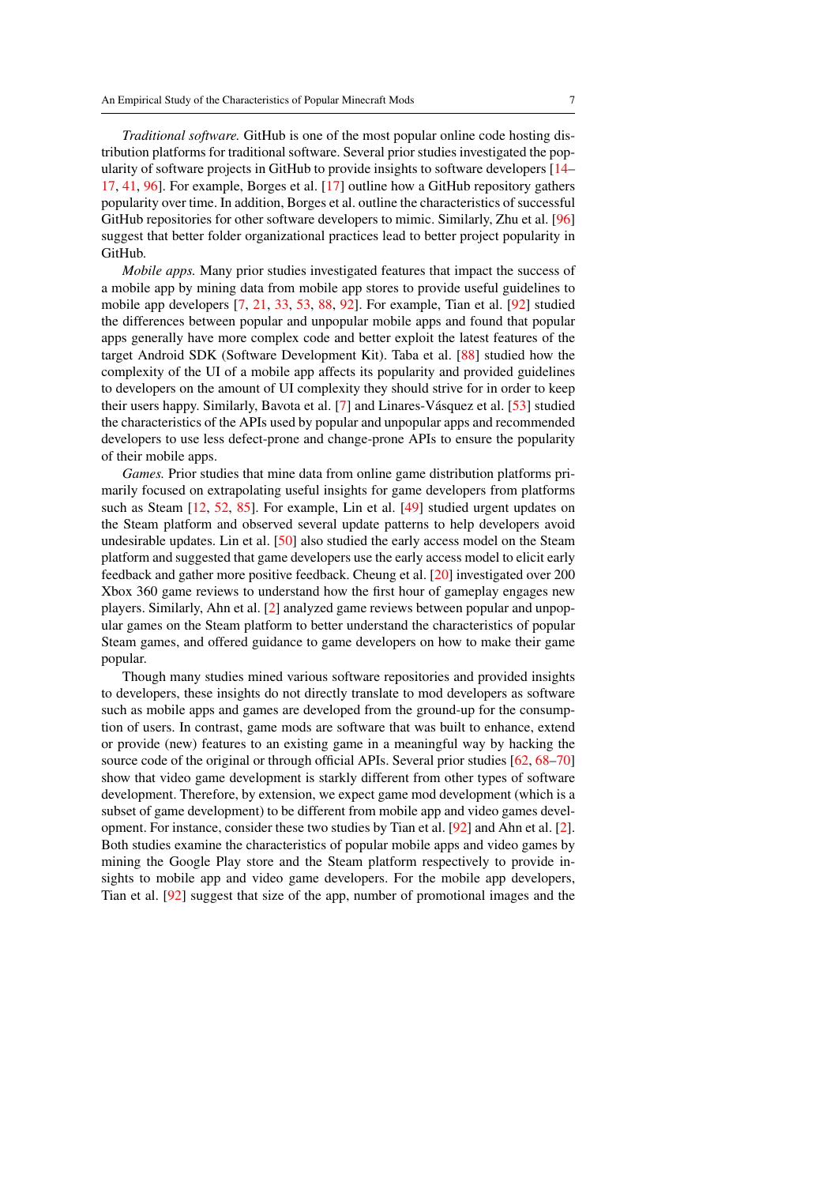*Traditional software.* GitHub is one of the most popular online code hosting distribution platforms for traditional software. Several prior studies investigated the popularity of software projects in GitHub to provide insights to software developers [\[14–](#page-25-9) [17,](#page-25-10) [41,](#page-27-8) [96\]](#page-30-9). For example, Borges et al. [\[17\]](#page-25-10) outline how a GitHub repository gathers popularity over time. In addition, Borges et al. outline the characteristics of successful GitHub repositories for other software developers to mimic. Similarly, Zhu et al. [\[96\]](#page-30-9) suggest that better folder organizational practices lead to better project popularity in GitHub.

*Mobile apps.* Many prior studies investigated features that impact the success of a mobile app by mining data from mobile app stores to provide useful guidelines to mobile app developers [\[7,](#page-25-11) [21,](#page-26-12) [33,](#page-26-13) [53,](#page-28-7) [88,](#page-30-10) [92\]](#page-30-2). For example, Tian et al. [\[92\]](#page-30-2) studied the differences between popular and unpopular mobile apps and found that popular apps generally have more complex code and better exploit the latest features of the target Android SDK (Software Development Kit). Taba et al. [\[88\]](#page-30-10) studied how the complexity of the UI of a mobile app affects its popularity and provided guidelines to developers on the amount of UI complexity they should strive for in order to keep their users happy. Similarly, Bavota et al. [\[7\]](#page-25-11) and Linares-Vásquez et al. [[53\]](#page-28-7) studied the characteristics of the APIs used by popular and unpopular apps and recommended developers to use less defect-prone and change-prone APIs to ensure the popularity of their mobile apps.

*Games.* Prior studies that mine data from online game distribution platforms primarily focused on extrapolating useful insights for game developers from platforms such as Steam [\[12,](#page-25-12) [52,](#page-28-8) [85\]](#page-30-11). For example, Lin et al. [\[49\]](#page-27-9) studied urgent updates on the Steam platform and observed several update patterns to help developers avoid undesirable updates. Lin et al. [\[50\]](#page-27-10) also studied the early access model on the Steam platform and suggested that game developers use the early access model to elicit early feedback and gather more positive feedback. Cheung et al. [\[20\]](#page-26-14) investigated over 200 Xbox 360 game reviews to understand how the first hour of gameplay engages new players. Similarly, Ahn et al. [\[2\]](#page-24-2) analyzed game reviews between popular and unpopular games on the Steam platform to better understand the characteristics of popular Steam games, and offered guidance to game developers on how to make their game popular.

Though many studies mined various software repositories and provided insights to developers, these insights do not directly translate to mod developers as software such as mobile apps and games are developed from the ground-up for the consumption of users. In contrast, game mods are software that was built to enhance, extend or provide (new) features to an existing game in a meaningful way by hacking the source code of the original or through official APIs. Several prior studies [\[62,](#page-28-9) [68](#page-29-4)[–70\]](#page-29-10) show that video game development is starkly different from other types of software development. Therefore, by extension, we expect game mod development (which is a subset of game development) to be different from mobile app and video games development. For instance, consider these two studies by Tian et al. [\[92\]](#page-30-2) and Ahn et al. [\[2\]](#page-24-2). Both studies examine the characteristics of popular mobile apps and video games by mining the Google Play store and the Steam platform respectively to provide insights to mobile app and video game developers. For the mobile app developers, Tian et al. [\[92\]](#page-30-2) suggest that size of the app, number of promotional images and the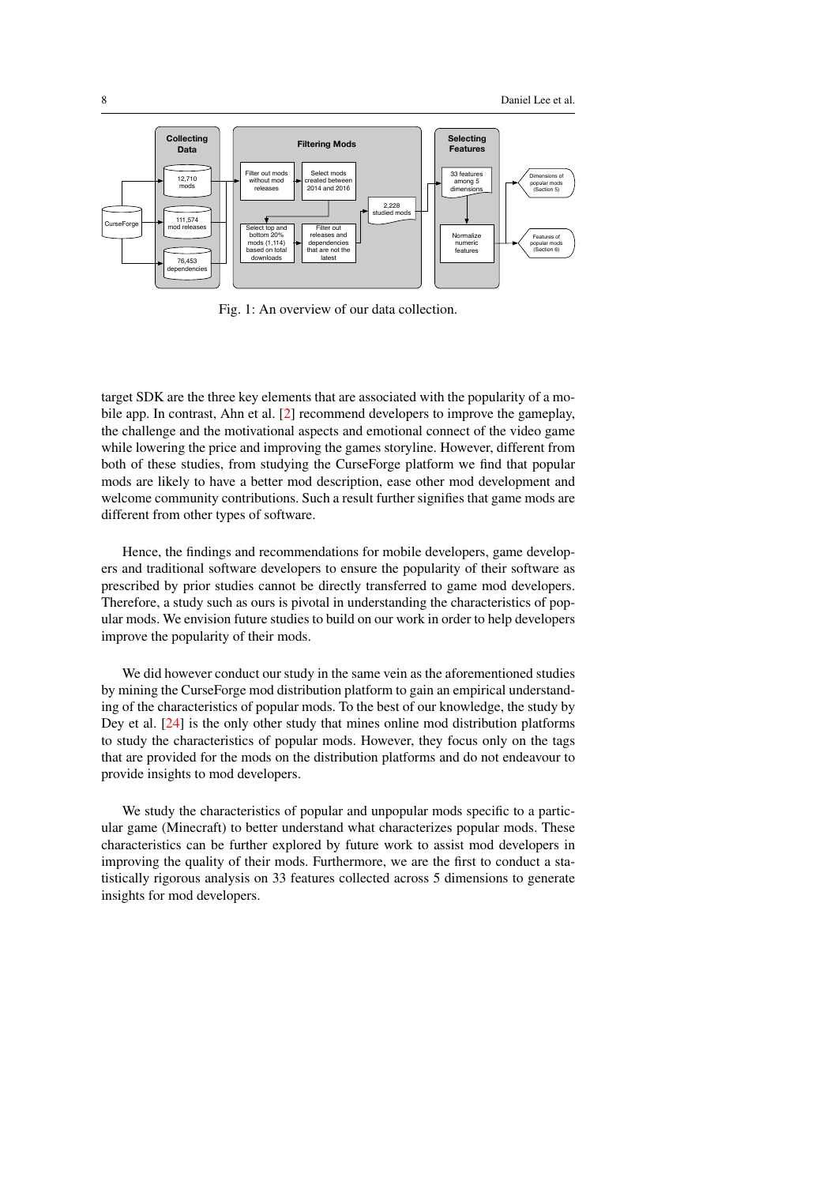<span id="page-7-0"></span>

Fig. 1: An overview of our data collection.

target SDK are the three key elements that are associated with the popularity of a mobile app. In contrast, Ahn et al. [\[2\]](#page-24-2) recommend developers to improve the gameplay, the challenge and the motivational aspects and emotional connect of the video game while lowering the price and improving the games storyline. However, different from both of these studies, from studying the CurseForge platform we find that popular mods are likely to have a better mod description, ease other mod development and welcome community contributions. Such a result further signifies that game mods are different from other types of software.

Hence, the findings and recommendations for mobile developers, game developers and traditional software developers to ensure the popularity of their software as prescribed by prior studies cannot be directly transferred to game mod developers. Therefore, a study such as ours is pivotal in understanding the characteristics of popular mods. We envision future studies to build on our work in order to help developers improve the popularity of their mods.

We did however conduct our study in the same vein as the aforementioned studies by mining the CurseForge mod distribution platform to gain an empirical understanding of the characteristics of popular mods. To the best of our knowledge, the study by Dey et al. [\[24\]](#page-26-4) is the only other study that mines online mod distribution platforms to study the characteristics of popular mods. However, they focus only on the tags that are provided for the mods on the distribution platforms and do not endeavour to provide insights to mod developers.

We study the characteristics of popular and unpopular mods specific to a particular game (Minecraft) to better understand what characterizes popular mods. These characteristics can be further explored by future work to assist mod developers in improving the quality of their mods. Furthermore, we are the first to conduct a statistically rigorous analysis on 33 features collected across 5 dimensions to generate insights for mod developers.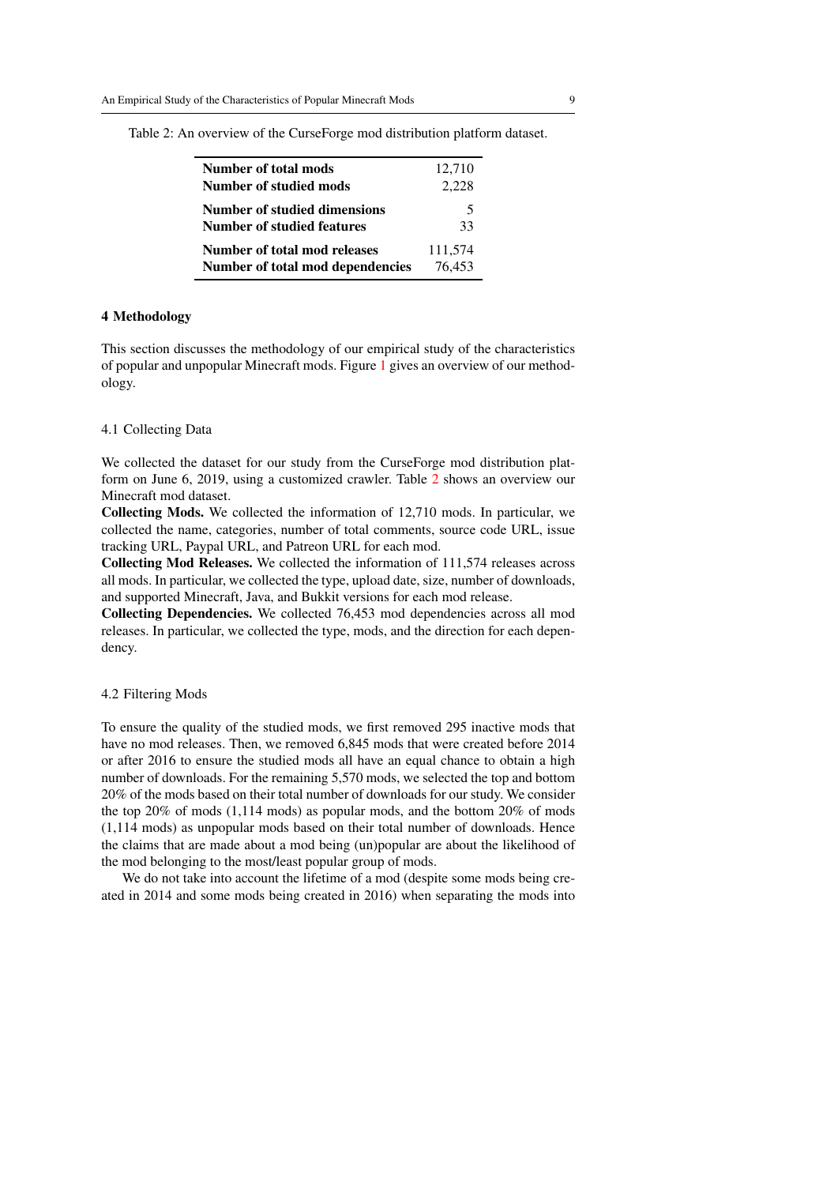| Number of total mods<br>Number of studied mods                   | 12,710<br>2,228   |  |
|------------------------------------------------------------------|-------------------|--|
| Number of studied dimensions<br>Number of studied features       | 5<br>33           |  |
| Number of total mod releases<br>Number of total mod dependencies | 111,574<br>76.453 |  |

<span id="page-8-1"></span>Table 2: An overview of the CurseForge mod distribution platform dataset.

## <span id="page-8-0"></span>4 Methodology

This section discusses the methodology of our empirical study of the characteristics of popular and unpopular Minecraft mods. Figure [1](#page-7-0) gives an overview of our methodology.

#### 4.1 Collecting Data

We collected the dataset for our study from the CurseForge mod distribution platform on June 6, 2019, using a customized crawler. Table [2](#page-8-1) shows an overview our Minecraft mod dataset.

Collecting Mods. We collected the information of 12,710 mods. In particular, we collected the name, categories, number of total comments, source code URL, issue tracking URL, Paypal URL, and Patreon URL for each mod.

Collecting Mod Releases. We collected the information of 111,574 releases across all mods. In particular, we collected the type, upload date, size, number of downloads, and supported Minecraft, Java, and Bukkit versions for each mod release.

Collecting Dependencies. We collected 76,453 mod dependencies across all mod releases. In particular, we collected the type, mods, and the direction for each dependency.

#### 4.2 Filtering Mods

To ensure the quality of the studied mods, we first removed 295 inactive mods that have no mod releases. Then, we removed 6,845 mods that were created before 2014 or after 2016 to ensure the studied mods all have an equal chance to obtain a high number of downloads. For the remaining 5,570 mods, we selected the top and bottom 20% of the mods based on their total number of downloads for our study. We consider the top 20% of mods (1,114 mods) as popular mods, and the bottom 20% of mods (1,114 mods) as unpopular mods based on their total number of downloads. Hence the claims that are made about a mod being (un)popular are about the likelihood of the mod belonging to the most/least popular group of mods.

We do not take into account the lifetime of a mod (despite some mods being created in 2014 and some mods being created in 2016) when separating the mods into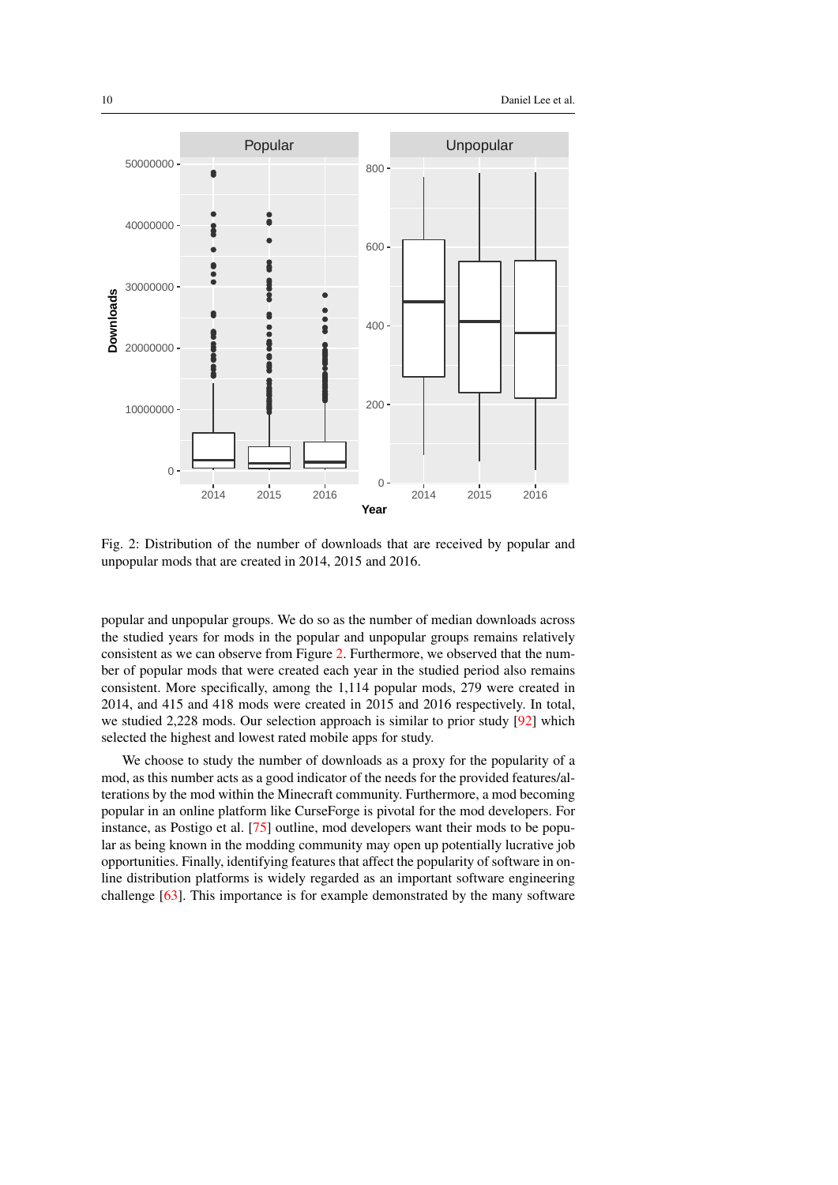<span id="page-9-0"></span>

Fig. 2: Distribution of the number of downloads that are received by popular and unpopular mods that are created in 2014, 2015 and 2016.

popular and unpopular groups. We do so as the number of median downloads across the studied years for mods in the popular and unpopular groups remains relatively consistent as we can observe from Figure [2.](#page-9-0) Furthermore, we observed that the number of popular mods that were created each year in the studied period also remains consistent. More specifically, among the 1,114 popular mods, 279 were created in 2014, and 415 and 418 mods were created in 2015 and 2016 respectively. In total, we studied 2,228 mods. Our selection approach is similar to prior study [\[92\]](#page-30-2) which selected the highest and lowest rated mobile apps for study.

We choose to study the number of downloads as a proxy for the popularity of a mod, as this number acts as a good indicator of the needs for the provided features/alterations by the mod within the Minecraft community. Furthermore, a mod becoming popular in an online platform like CurseForge is pivotal for the mod developers. For instance, as Postigo et al. [\[75\]](#page-29-11) outline, mod developers want their mods to be popular as being known in the modding community may open up potentially lucrative job opportunities. Finally, identifying features that affect the popularity of software in online distribution platforms is widely regarded as an important software engineering challenge [\[63\]](#page-28-10). This importance is for example demonstrated by the many software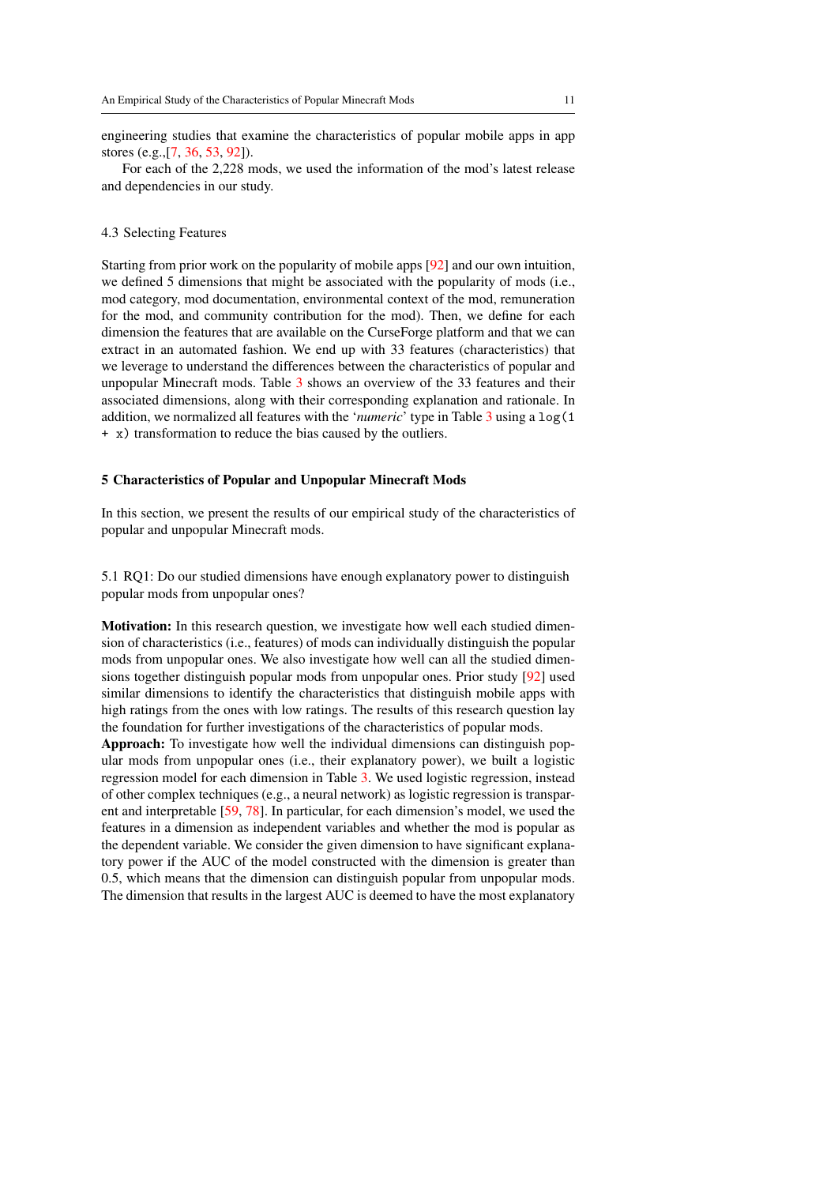engineering studies that examine the characteristics of popular mobile apps in app stores (e.g.,[\[7,](#page-25-11) [36,](#page-27-11) [53,](#page-28-7) [92\]](#page-30-2)).

For each of the 2,228 mods, we used the information of the mod's latest release and dependencies in our study.

#### 4.3 Selecting Features

Starting from prior work on the popularity of mobile apps [\[92\]](#page-30-2) and our own intuition, we defined 5 dimensions that might be associated with the popularity of mods (i.e., mod category, mod documentation, environmental context of the mod, remuneration for the mod, and community contribution for the mod). Then, we define for each dimension the features that are available on the CurseForge platform and that we can extract in an automated fashion. We end up with 33 features (characteristics) that we leverage to understand the differences between the characteristics of popular and unpopular Minecraft mods. Table [3](#page-11-0) shows an overview of the 33 features and their associated dimensions, along with their corresponding explanation and rationale. In addition, we normalized all features with the '*numeric*' type in Table [3](#page-11-0) using a log(1 + x) transformation to reduce the bias caused by the outliers.

#### <span id="page-10-0"></span>5 Characteristics of Popular and Unpopular Minecraft Mods

In this section, we present the results of our empirical study of the characteristics of popular and unpopular Minecraft mods.

5.1 RQ1: Do our studied dimensions have enough explanatory power to distinguish popular mods from unpopular ones?

Motivation: In this research question, we investigate how well each studied dimension of characteristics (i.e., features) of mods can individually distinguish the popular mods from unpopular ones. We also investigate how well can all the studied dimensions together distinguish popular mods from unpopular ones. Prior study [\[92\]](#page-30-2) used similar dimensions to identify the characteristics that distinguish mobile apps with high ratings from the ones with low ratings. The results of this research question lay the foundation for further investigations of the characteristics of popular mods.

Approach: To investigate how well the individual dimensions can distinguish popular mods from unpopular ones (i.e., their explanatory power), we built a logistic regression model for each dimension in Table [3.](#page-11-0) We used logistic regression, instead of other complex techniques (e.g., a neural network) as logistic regression is transparent and interpretable [\[59,](#page-28-11) [78\]](#page-29-12). In particular, for each dimension's model, we used the features in a dimension as independent variables and whether the mod is popular as the dependent variable. We consider the given dimension to have significant explanatory power if the AUC of the model constructed with the dimension is greater than 0.5, which means that the dimension can distinguish popular from unpopular mods. The dimension that results in the largest AUC is deemed to have the most explanatory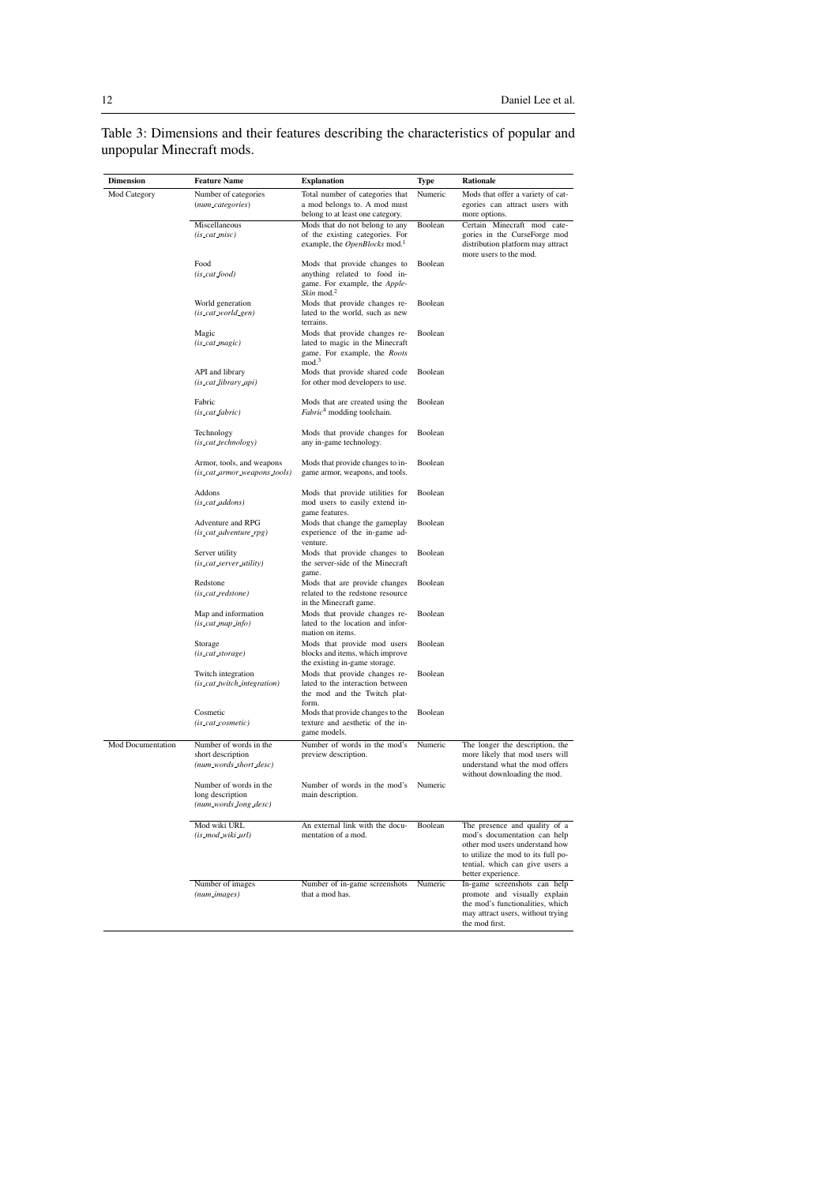<span id="page-11-0"></span>Table 3: Dimensions and their features describing the characteristics of popular and unpopular Minecraft mods.

| Dimension         | <b>Feature Name</b>                                                   | <b>Explanation</b>                                                                                                                                 | Type    | Rationale                                                                                                                                                                                      |
|-------------------|-----------------------------------------------------------------------|----------------------------------------------------------------------------------------------------------------------------------------------------|---------|------------------------------------------------------------------------------------------------------------------------------------------------------------------------------------------------|
| Mod Category      | Number of categories<br>(num_categories)                              | Total number of categories that<br>a mod belongs to. A mod must                                                                                    | Numeric | Mods that offer a variety of cat-<br>egories can attract users with<br>more options.                                                                                                           |
|                   | Miscellaneous<br>$(is\_cat\_misc)$                                    | belong to at least one category.<br>Mods that do not belong to any<br>of the existing categories. For<br>example, the OpenBlocks mod. <sup>1</sup> | Boolean | Certain Minecraft mod cate-<br>gories in the CurseForge mod<br>distribution platform may attract                                                                                               |
|                   | Food<br>(is_cat_food)                                                 | Mods that provide changes to<br>anything related to food in-<br>game. For example, the Apple-<br>Skin mod. $2$                                     | Boolean | more users to the mod.                                                                                                                                                                         |
|                   | World generation<br>(is_cat_world_gen)                                | Mods that provide changes re-<br>lated to the world, such as new<br>terrains.                                                                      | Boolean |                                                                                                                                                                                                |
|                   | Magic<br>(is_cat_magic)                                               | Mods that provide changes re-<br>lated to magic in the Minecraft<br>game. For example, the Roots<br>mod. <sup>3</sup>                              | Boolean |                                                                                                                                                                                                |
|                   | API and library<br>(is_cat_library_api)                               | Mods that provide shared code<br>for other mod developers to use.                                                                                  | Boolean |                                                                                                                                                                                                |
|                   | Fabric<br>(is_cat_fabric)                                             | Mods that are created using the<br>${\it Fabric}^4$ modding toolchain.                                                                             | Boolean |                                                                                                                                                                                                |
|                   | Technology<br>(is_cat_technology)                                     | Mods that provide changes for<br>any in-game technology.                                                                                           | Boolean |                                                                                                                                                                                                |
|                   | Armor, tools, and weapons<br>(is_cat_armor_weapons_tools)             | Mods that provide changes to in-<br>game armor, weapons, and tools.                                                                                | Boolean |                                                                                                                                                                                                |
|                   | Addons<br>(is_cat_addons)                                             | Mods that provide utilities for<br>mod users to easily extend in-<br>game features.                                                                | Boolean |                                                                                                                                                                                                |
|                   | Adventure and RPG<br>(is_cat_adventure_rpg)                           | Mods that change the gameplay<br>experience of the in-game ad-<br>venture.                                                                         | Boolean |                                                                                                                                                                                                |
|                   | Server utility<br>(is_cat_server_utility)                             | Mods that provide changes to<br>the server-side of the Minecraft<br>game.                                                                          | Boolean |                                                                                                                                                                                                |
|                   | Redstone<br>(is_cat_redstone)                                         | Mods that are provide changes<br>related to the redstone resource<br>in the Minecraft game.                                                        | Boolean |                                                                                                                                                                                                |
|                   | Map and information<br>(is_cat_map_info)                              | Mods that provide changes re-<br>lated to the location and infor-<br>mation on items.                                                              | Boolean |                                                                                                                                                                                                |
|                   | Storage<br>(is_cat_storage)                                           | Mods that provide mod users<br>blocks and items, which improve<br>the existing in-game storage.                                                    | Boolean |                                                                                                                                                                                                |
|                   | Twitch integration<br>(is_cat_twitch_integration)                     | Mods that provide changes re-<br>lated to the interaction between<br>the mod and the Twitch plat-                                                  | Boolean |                                                                                                                                                                                                |
|                   | Cosmetic<br>(is_cat_cosmetic)                                         | form.<br>Mods that provide changes to the<br>texture and aesthetic of the in-<br>game models.                                                      | Boolean |                                                                                                                                                                                                |
| Mod Documentation | Number of words in the<br>short description<br>(num_words_short_desc) | Number of words in the mod's<br>preview description.                                                                                               | Numeric | The longer the description, the<br>more likely that mod users will<br>understand what the mod offers<br>without downloading the mod.                                                           |
|                   | Number of words in the<br>long description<br>(num_words_long_desc)   | Number of words in the mod's<br>main description.                                                                                                  | Numeric |                                                                                                                                                                                                |
|                   | Mod wiki URL<br>(is_mod_wiki_url)                                     | An external link with the docu-<br>mentation of a mod.                                                                                             | Boolean | The presence and quality of a<br>mod's documentation can help<br>other mod users understand how<br>to utilize the mod to its full po-<br>tential, which can give users a<br>better experience. |
|                   | Number of images<br>(num_images)                                      | Number of in-game screenshots<br>that a mod has.                                                                                                   | Numeric | In-game screenshots can help<br>promote and visually explain<br>the mod's functionalities, which<br>may attract users, without trying<br>the mod first.                                        |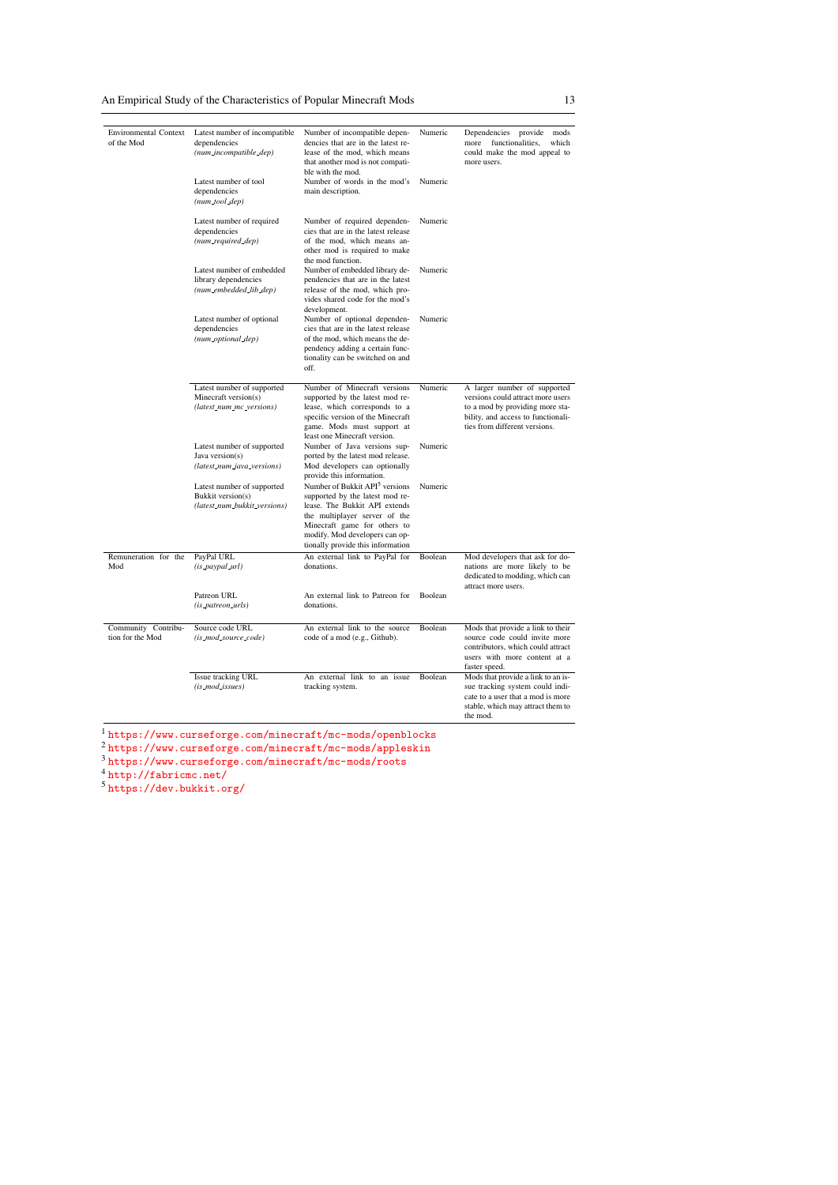| <b>Environmental Context</b><br>of the Mod | Latest number of incompatible<br>dependencies<br>(num_incompatible_dep)<br>Latest number of tool | Number of incompatible depen-<br>dencies that are in the latest re-<br>lease of the mod, which means<br>that another mod is not compati-<br>ble with the mod.<br>Number of words in the mod's                                                          | Numeric<br>Numeric | Dependencies provide<br>mods<br>functionalities,<br>which<br>more<br>could make the mod appeal to<br>more users.                                                            |
|--------------------------------------------|--------------------------------------------------------------------------------------------------|--------------------------------------------------------------------------------------------------------------------------------------------------------------------------------------------------------------------------------------------------------|--------------------|-----------------------------------------------------------------------------------------------------------------------------------------------------------------------------|
|                                            | dependencies<br>$(num\_tool\_dep)$                                                               | main description.                                                                                                                                                                                                                                      |                    |                                                                                                                                                                             |
|                                            | Latest number of required<br>dependencies<br>(num_required_dep)                                  | Number of required dependen-<br>cies that are in the latest release<br>of the mod, which means an-<br>other mod is required to make<br>the mod function.                                                                                               | Numeric            |                                                                                                                                                                             |
|                                            | Latest number of embedded<br>library dependencies<br>(num_embedded_lib_dep)                      | Number of embedded library de-<br>pendencies that are in the latest<br>release of the mod, which pro-<br>vides shared code for the mod's<br>development.                                                                                               | Numeric            |                                                                                                                                                                             |
|                                            | Latest number of optional<br>dependencies<br>(num_optional_dep)                                  | Number of optional dependen-<br>cies that are in the latest release<br>of the mod, which means the de-<br>pendency adding a certain func-<br>tionality can be switched on and<br>off.                                                                  | Numeric            |                                                                                                                                                                             |
|                                            | Latest number of supported<br>Minecraft version(s)<br>(latest_num_mc_versions)                   | Number of Minecraft versions<br>supported by the latest mod re-<br>lease, which corresponds to a<br>specific version of the Minecraft<br>game. Mods must support at<br>least one Minecraft version.                                                    | Numeric            | A larger number of supported<br>versions could attract more users<br>to a mod by providing more sta-<br>bility, and access to functionali-<br>ties from different versions. |
|                                            | Latest number of supported<br>Java version(s)<br>(latest_num_java_versions)                      | Number of Java versions sup-<br>ported by the latest mod release.<br>Mod developers can optionally<br>provide this information.                                                                                                                        | Numeric            |                                                                                                                                                                             |
|                                            | Latest number of supported<br>Bukkit version(s)<br>(latest_num_bukkit_versions)                  | Number of Bukkit API <sup>5</sup> versions<br>supported by the latest mod re-<br>lease. The Bukkit API extends<br>the multiplayer server of the<br>Minecraft game for others to<br>modify. Mod developers can op-<br>tionally provide this information | Numeric            |                                                                                                                                                                             |
| Remuneration for the<br>Mod                | PayPal URL<br>(is_paypal_url)                                                                    | An external link to PayPal for<br>donations.                                                                                                                                                                                                           | Boolean            | Mod developers that ask for do-<br>nations are more likely to be<br>dedicated to modding, which can<br>attract more users.                                                  |
|                                            | Patreon URL<br>(is_patreon_urls)                                                                 | An external link to Patreon for<br>donations.                                                                                                                                                                                                          | Boolean            |                                                                                                                                                                             |
| Community Contribu-<br>tion for the Mod    | Source code URL<br>(is_mod_source_code)                                                          | An external link to the source<br>code of a mod (e.g., Github).                                                                                                                                                                                        | Boolean            | Mods that provide a link to their<br>source code could invite more<br>contributors, which could attract<br>users with more content at a<br>faster speed.                    |
|                                            | Issue tracking URL<br>(is_mod_issues)                                                            | An external link to an issue<br>tracking system.                                                                                                                                                                                                       | Boolean            | Mods that provide a link to an is-<br>sue tracking system could indi-<br>cate to a user that a mod is more<br>stable, which may attract them to<br>the mod.                 |

<sup>1</sup> <https://www.curseforge.com/minecraft/mc-mods/openblocks>

 $^2$ <https://www.curseforge.com/minecraft/mc-mods/appleskin>

<sup>3</sup> <https://www.curseforge.com/minecraft/mc-mods/roots>

<sup>4</sup> <http://fabricmc.net/>

<sup>5</sup> <https://dev.bukkit.org/>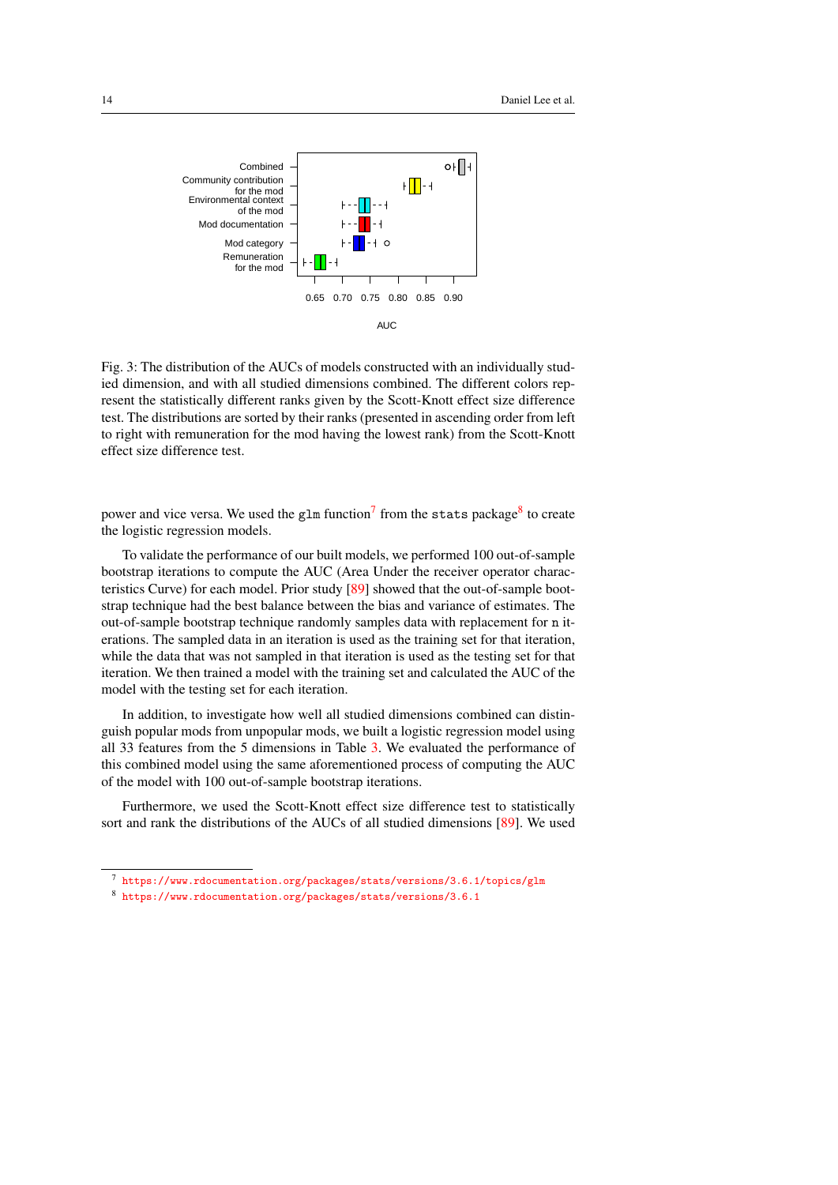<span id="page-13-2"></span>

Fig. 3: The distribution of the AUCs of models constructed with an individually studied dimension, and with all studied dimensions combined. The different colors represent the statistically different ranks given by the Scott-Knott effect size difference test. The distributions are sorted by their ranks (presented in ascending order from left to right with remuneration for the mod having the lowest rank) from the Scott-Knott effect size difference test.

power and vice versa. We used the glm function<sup>[7](#page-13-0)</sup> from the stats package<sup>[8](#page-13-1)</sup> to create the logistic regression models.

To validate the performance of our built models, we performed 100 out-of-sample bootstrap iterations to compute the AUC (Area Under the receiver operator characteristics Curve) for each model. Prior study [\[89\]](#page-30-12) showed that the out-of-sample bootstrap technique had the best balance between the bias and variance of estimates. The out-of-sample bootstrap technique randomly samples data with replacement for n iterations. The sampled data in an iteration is used as the training set for that iteration, while the data that was not sampled in that iteration is used as the testing set for that iteration. We then trained a model with the training set and calculated the AUC of the model with the testing set for each iteration.

In addition, to investigate how well all studied dimensions combined can distinguish popular mods from unpopular mods, we built a logistic regression model using all 33 features from the 5 dimensions in Table [3.](#page-11-0) We evaluated the performance of this combined model using the same aforementioned process of computing the AUC of the model with 100 out-of-sample bootstrap iterations.

Furthermore, we used the Scott-Knott effect size difference test to statistically sort and rank the distributions of the AUCs of all studied dimensions [\[89\]](#page-30-12). We used

<span id="page-13-0"></span><https://www.rdocumentation.org/packages/stats/versions/3.6.1/topics/glm>

<span id="page-13-1"></span><sup>8</sup> <https://www.rdocumentation.org/packages/stats/versions/3.6.1>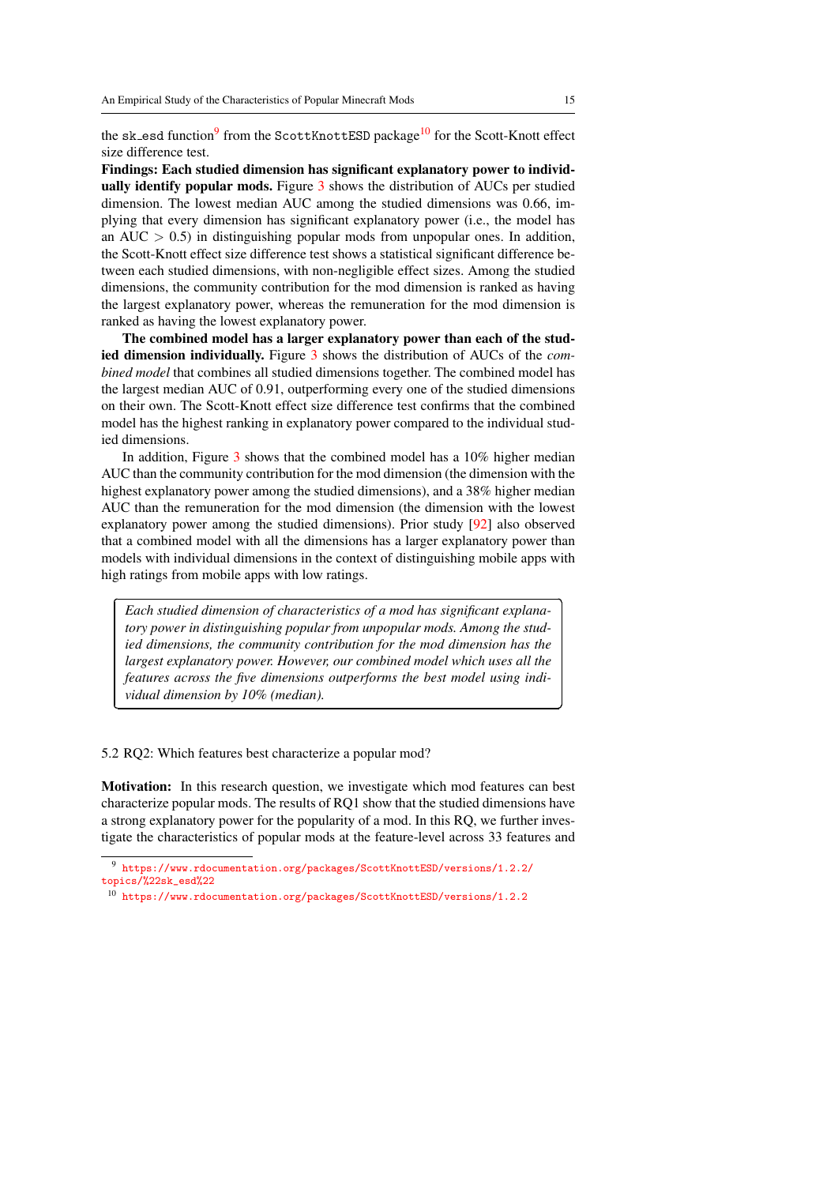the sk\_esd function<sup>[9](#page-14-0)</sup> from the ScottKnottESD package<sup>[10](#page-14-1)</sup> for the Scott-Knott effect size difference test.

Findings: Each studied dimension has significant explanatory power to individ-ually identify popular mods. Figure [3](#page-13-2) shows the distribution of AUCs per studied dimension. The lowest median AUC among the studied dimensions was 0.66, implying that every dimension has significant explanatory power (i.e., the model has an  $AUC > 0.5$ ) in distinguishing popular mods from unpopular ones. In addition, the Scott-Knott effect size difference test shows a statistical significant difference between each studied dimensions, with non-negligible effect sizes. Among the studied dimensions, the community contribution for the mod dimension is ranked as having the largest explanatory power, whereas the remuneration for the mod dimension is ranked as having the lowest explanatory power.

The combined model has a larger explanatory power than each of the studied dimension individually. Figure [3](#page-13-2) shows the distribution of AUCs of the *combined model* that combines all studied dimensions together. The combined model has the largest median AUC of 0.91, outperforming every one of the studied dimensions on their own. The Scott-Knott effect size difference test confirms that the combined model has the highest ranking in explanatory power compared to the individual studied dimensions.

In addition, Figure [3](#page-13-2) shows that the combined model has a 10% higher median AUC than the community contribution for the mod dimension (the dimension with the highest explanatory power among the studied dimensions), and a 38% higher median AUC than the remuneration for the mod dimension (the dimension with the lowest explanatory power among the studied dimensions). Prior study [\[92\]](#page-30-2) also observed that a combined model with all the dimensions has a larger explanatory power than models with individual dimensions in the context of distinguishing mobile apps with high ratings from mobile apps with low ratings.

*Each studied dimension of characteristics of a mod has significant explanatory power in distinguishing popular from unpopular mods. Among the studied dimensions, the community contribution for the mod dimension has the largest explanatory power. However, our combined model which uses all the features across the five dimensions outperforms the best model using individual dimension by 10% (median).*

5.2 RQ2: Which features best characterize a popular mod?

✄

 $\overline{a}$ 

Motivation: In this research question, we investigate which mod features can best characterize popular mods. The results of RQ1 show that the studied dimensions have a strong explanatory power for the popularity of a mod. In this RQ, we further investigate the characteristics of popular mods at the feature-level across 33 features and

<sup>1</sup>

✁

<span id="page-14-0"></span> $^9$ [https://www.rdocumentation.org/packages/ScottKnottESD/versions/1.2.2/](https://www.rdocumentation.org/packages/ScottKnottESD/versions/1.2.2/topics/%22sk_esd%22) [topics/%22sk\\_esd%22](https://www.rdocumentation.org/packages/ScottKnottESD/versions/1.2.2/topics/%22sk_esd%22)

<span id="page-14-1"></span><sup>10</sup> <https://www.rdocumentation.org/packages/ScottKnottESD/versions/1.2.2>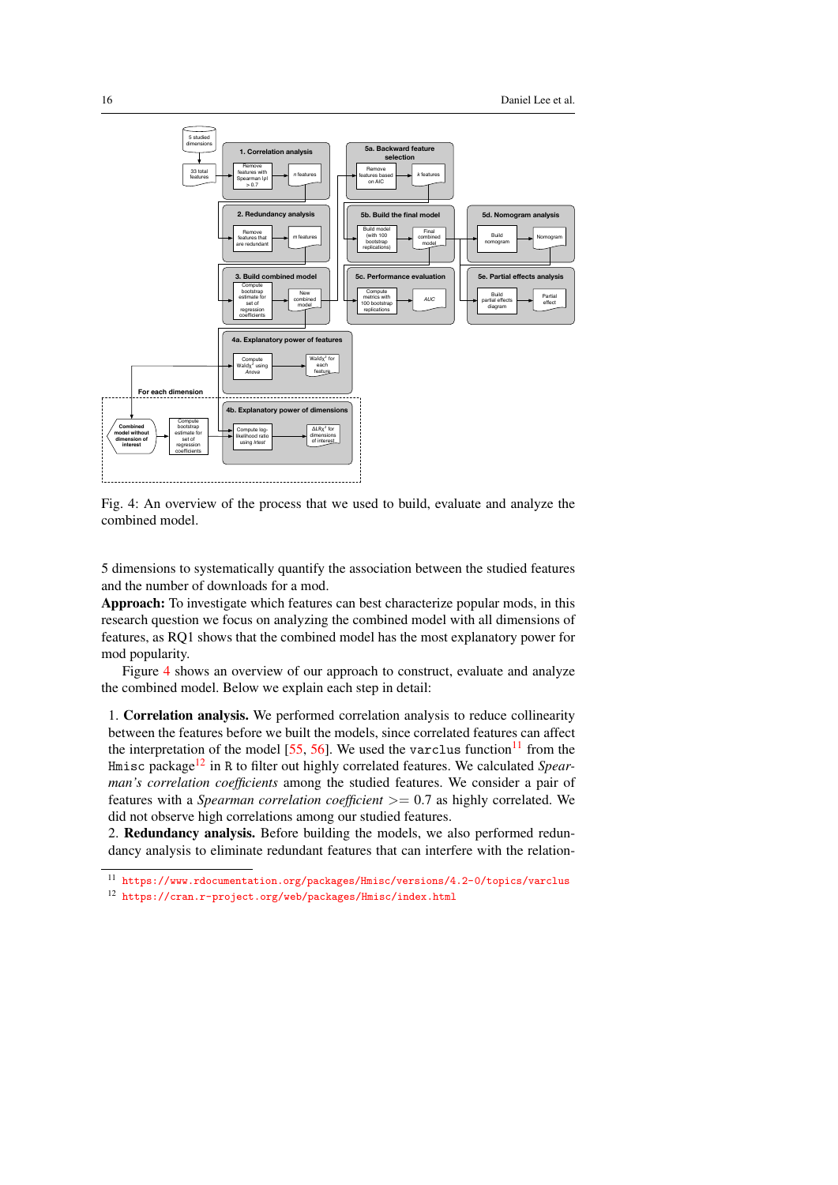<span id="page-15-0"></span>

Fig. 4: An overview of the process that we used to build, evaluate and analyze the combined model.

5 dimensions to systematically quantify the association between the studied features and the number of downloads for a mod.

Approach: To investigate which features can best characterize popular mods, in this research question we focus on analyzing the combined model with all dimensions of features, as RQ1 shows that the combined model has the most explanatory power for mod popularity.

Figure [4](#page-15-0) shows an overview of our approach to construct, evaluate and analyze the combined model. Below we explain each step in detail:

1. Correlation analysis. We performed correlation analysis to reduce collinearity between the features before we built the models, since correlated features can affect the interpretation of the model  $[55, 56]$  $[55, 56]$  $[55, 56]$ . We used the varclus function<sup>[11](#page-15-1)</sup> from the Hmisc package[12](#page-15-2) in R to filter out highly correlated features. We calculated *Spearman's correlation coefficients* among the studied features. We consider a pair of features with a *Spearman correlation coefficient* >= 0.7 as highly correlated. We did not observe high correlations among our studied features.

2. Redundancy analysis. Before building the models, we also performed redundancy analysis to eliminate redundant features that can interfere with the relation-

<span id="page-15-1"></span><sup>11</sup> <https://www.rdocumentation.org/packages/Hmisc/versions/4.2-0/topics/varclus>

<span id="page-15-2"></span><sup>12</sup> <https://cran.r-project.org/web/packages/Hmisc/index.html>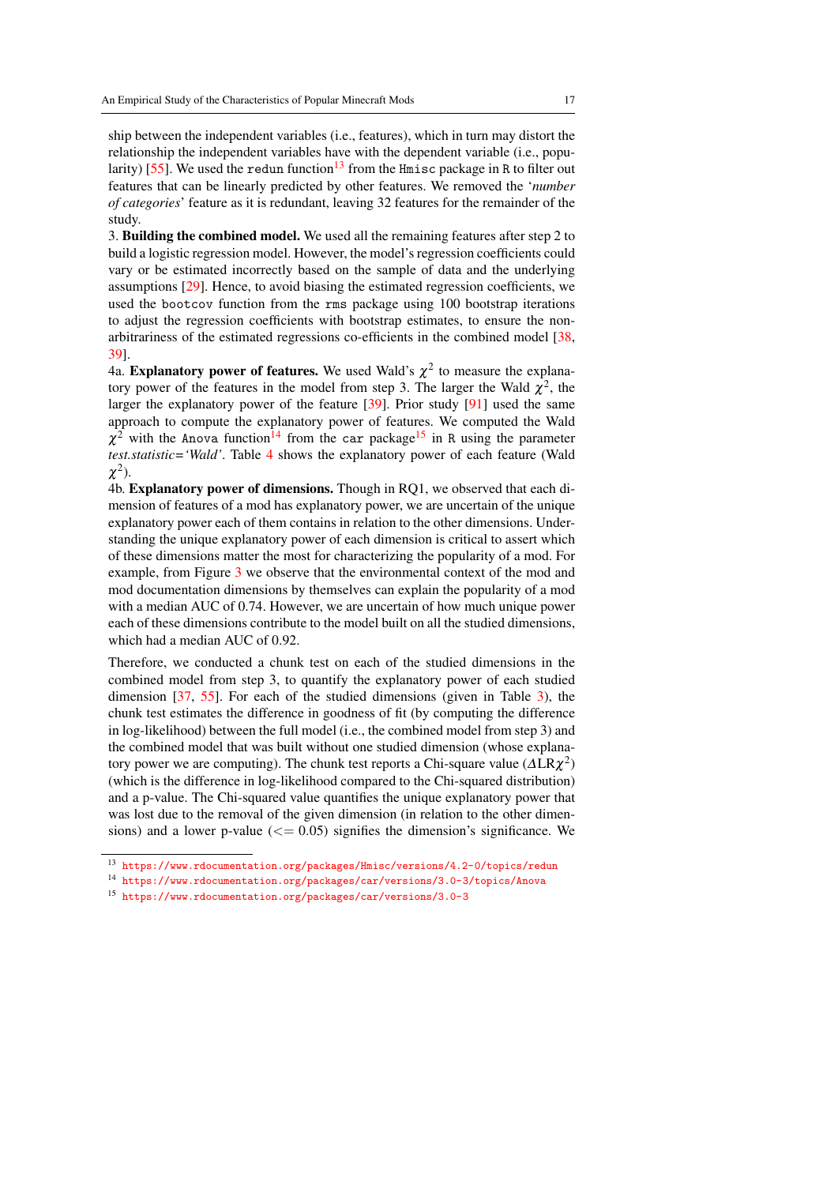ship between the independent variables (i.e., features), which in turn may distort the relationship the independent variables have with the dependent variable (i.e., popu-larity) [\[55\]](#page-28-12). We used the redun function<sup>[13](#page-16-0)</sup> from the Hmisc package in R to filter out features that can be linearly predicted by other features. We removed the '*number of categories*' feature as it is redundant, leaving 32 features for the remainder of the study.

3. Building the combined model. We used all the remaining features after step 2 to build a logistic regression model. However, the model's regression coefficients could vary or be estimated incorrectly based on the sample of data and the underlying assumptions [\[29\]](#page-26-15). Hence, to avoid biasing the estimated regression coefficients, we used the bootcov function from the rms package using 100 bootstrap iterations to adjust the regression coefficients with bootstrap estimates, to ensure the nonarbitrariness of the estimated regressions co-efficients in the combined model [\[38,](#page-27-12) [39\]](#page-27-13).

4a. **Explanatory power of features.** We used Wald's  $\chi^2$  to measure the explanatory power of the features in the model from step 3. The larger the Wald  $\chi^2$ , the larger the explanatory power of the feature [\[39\]](#page-27-13). Prior study [\[91\]](#page-30-13) used the same approach to compute the explanatory power of features. We computed the Wald  $\chi^2$  with the Anova function<sup>[14](#page-16-1)</sup> from the car package<sup>[15](#page-16-2)</sup> in R using the parameter *test.statistic='Wald'*. Table [4](#page-18-0) shows the explanatory power of each feature (Wald  $\chi^2$ ).

4b. Explanatory power of dimensions. Though in RQ1, we observed that each dimension of features of a mod has explanatory power, we are uncertain of the unique explanatory power each of them contains in relation to the other dimensions. Understanding the unique explanatory power of each dimension is critical to assert which of these dimensions matter the most for characterizing the popularity of a mod. For example, from Figure [3](#page-13-2) we observe that the environmental context of the mod and mod documentation dimensions by themselves can explain the popularity of a mod with a median AUC of 0.74. However, we are uncertain of how much unique power each of these dimensions contribute to the model built on all the studied dimensions, which had a median AUC of 0.92.

Therefore, we conducted a chunk test on each of the studied dimensions in the combined model from step 3, to quantify the explanatory power of each studied dimension [\[37,](#page-27-14) [55\]](#page-28-12). For each of the studied dimensions (given in Table [3\)](#page-11-0), the chunk test estimates the difference in goodness of fit (by computing the difference in log-likelihood) between the full model (i.e., the combined model from step 3) and the combined model that was built without one studied dimension (whose explanatory power we are computing). The chunk test reports a Chi-square value ( $\Delta \rm{LR}\chi^2$ ) (which is the difference in log-likelihood compared to the Chi-squared distribution) and a p-value. The Chi-squared value quantifies the unique explanatory power that was lost due to the removal of the given dimension (in relation to the other dimensions) and a lower p-value  $\left(\leq 0.05\right)$  signifies the dimension's significance. We

<span id="page-16-0"></span><sup>13</sup> <https://www.rdocumentation.org/packages/Hmisc/versions/4.2-0/topics/redun>

<span id="page-16-1"></span><sup>14</sup> <https://www.rdocumentation.org/packages/car/versions/3.0-3/topics/Anova>

<span id="page-16-2"></span><sup>15</sup> <https://www.rdocumentation.org/packages/car/versions/3.0-3>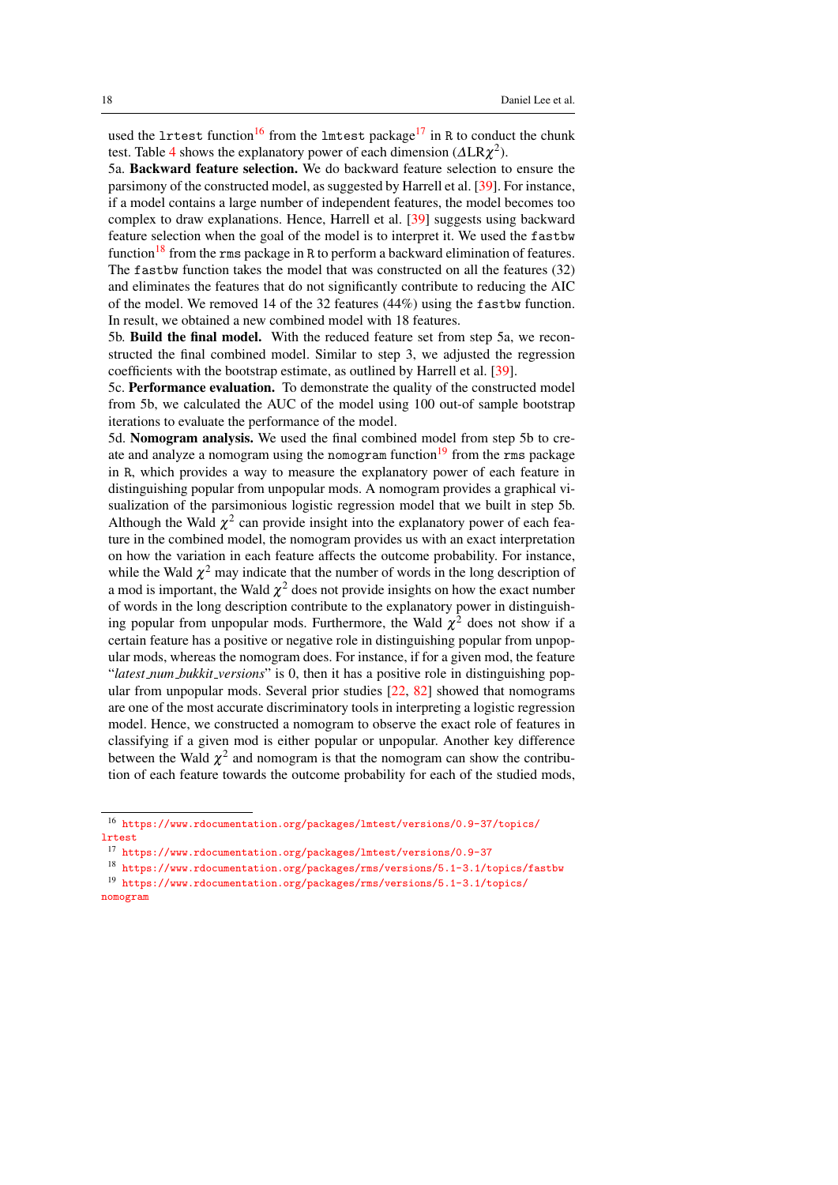used the lrtest function<sup>[16](#page-17-0)</sup> from the lmtest package<sup>[17](#page-17-1)</sup> in R to conduct the chunk test. Table [4](#page-18-0) shows the explanatory power of each dimension ( $\Delta LR\chi^2$ ).

5a. Backward feature selection. We do backward feature selection to ensure the parsimony of the constructed model, as suggested by Harrell et al. [\[39\]](#page-27-13). For instance, if a model contains a large number of independent features, the model becomes too complex to draw explanations. Hence, Harrell et al. [\[39\]](#page-27-13) suggests using backward feature selection when the goal of the model is to interpret it. We used the fastbw function<sup>[18](#page-17-2)</sup> from the rms package in R to perform a backward elimination of features. The fastbw function takes the model that was constructed on all the features (32) and eliminates the features that do not significantly contribute to reducing the AIC of the model. We removed 14 of the 32 features (44%) using the fastbw function. In result, we obtained a new combined model with 18 features.

5b. Build the final model. With the reduced feature set from step 5a, we reconstructed the final combined model. Similar to step 3, we adjusted the regression coefficients with the bootstrap estimate, as outlined by Harrell et al. [\[39\]](#page-27-13).

5c. Performance evaluation. To demonstrate the quality of the constructed model from 5b, we calculated the AUC of the model using 100 out-of sample bootstrap iterations to evaluate the performance of the model.

5d. Nomogram analysis. We used the final combined model from step 5b to cre-ate and analyze a nomogram using the nomogram function<sup>[19](#page-17-3)</sup> from the rms package in R, which provides a way to measure the explanatory power of each feature in distinguishing popular from unpopular mods. A nomogram provides a graphical visualization of the parsimonious logistic regression model that we built in step 5b. Although the Wald  $\chi^2$  can provide insight into the explanatory power of each feature in the combined model, the nomogram provides us with an exact interpretation on how the variation in each feature affects the outcome probability. For instance, while the Wald  $\chi^2$  may indicate that the number of words in the long description of a mod is important, the Wald  $\chi^2$  does not provide insights on how the exact number of words in the long description contribute to the explanatory power in distinguishing popular from unpopular mods. Furthermore, the Wald  $\chi^2$  does not show if a certain feature has a positive or negative role in distinguishing popular from unpopular mods, whereas the nomogram does. For instance, if for a given mod, the feature "*latest num bukkit versions*" is 0, then it has a positive role in distinguishing popular from unpopular mods. Several prior studies [\[22,](#page-26-16) [82\]](#page-30-14) showed that nomograms are one of the most accurate discriminatory tools in interpreting a logistic regression model. Hence, we constructed a nomogram to observe the exact role of features in classifying if a given mod is either popular or unpopular. Another key difference between the Wald  $\chi^2$  and nomogram is that the nomogram can show the contribution of each feature towards the outcome probability for each of the studied mods,

<span id="page-17-0"></span><sup>16</sup> [https://www.rdocumentation.org/packages/lmtest/versions/0.9-37/topics/](https://www.rdocumentation.org/packages/lmtest/versions/0.9-37/topics/lrtest) [lrtest](https://www.rdocumentation.org/packages/lmtest/versions/0.9-37/topics/lrtest)

<span id="page-17-1"></span><sup>17</sup> <https://www.rdocumentation.org/packages/lmtest/versions/0.9-37>

<span id="page-17-3"></span><span id="page-17-2"></span><sup>18</sup> <https://www.rdocumentation.org/packages/rms/versions/5.1-3.1/topics/fastbw>

<sup>19</sup> [https://www.rdocumentation.org/packages/rms/versions/5.1-3.1/topics/](https://www.rdocumentation.org/packages/rms/versions/5.1-3.1/topics/nomogram) [nomogram](https://www.rdocumentation.org/packages/rms/versions/5.1-3.1/topics/nomogram)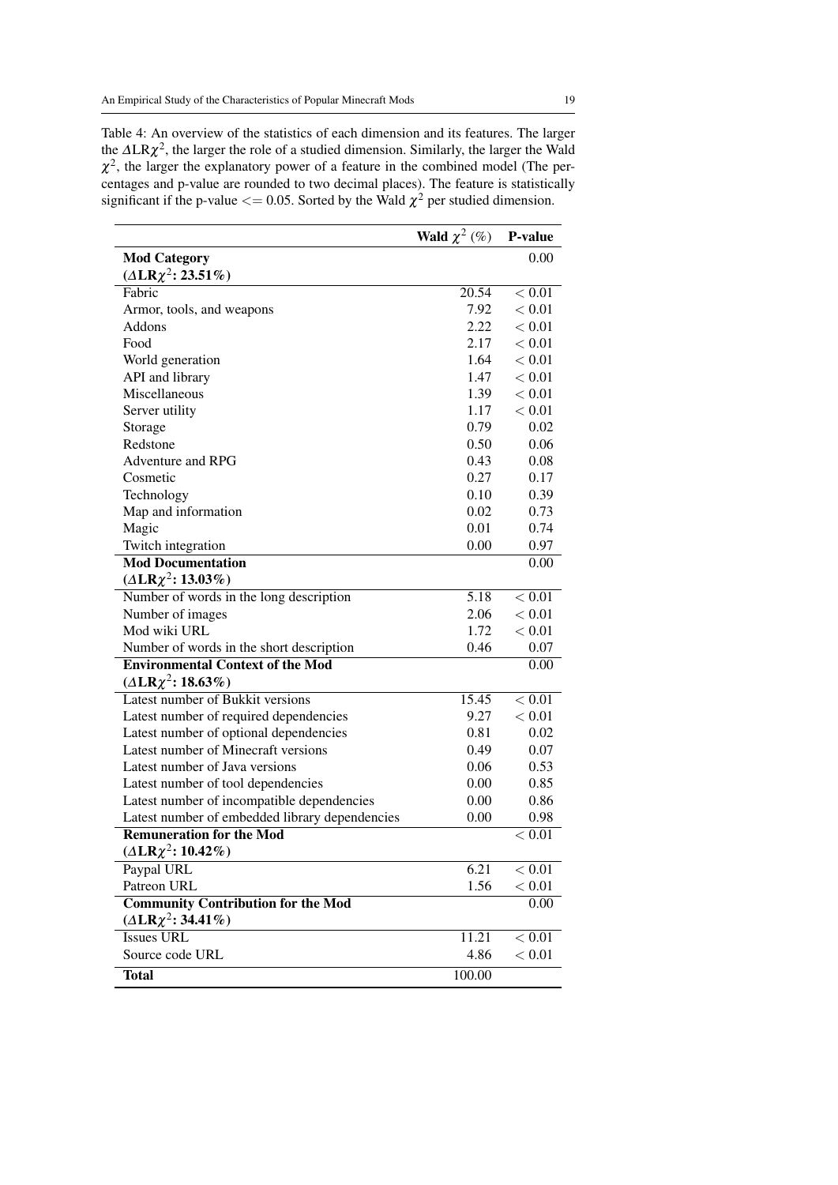<span id="page-18-0"></span>Table 4: An overview of the statistics of each dimension and its features. The larger the  $\Delta LR\chi^2$ , the larger the role of a studied dimension. Similarly, the larger the Wald  $\chi^2$ , the larger the explanatory power of a feature in the combined model (The percentages and p-value are rounded to two decimal places). The feature is statistically significant if the p-value  $<= 0.05$ . Sorted by the Wald  $\chi^2$  per studied dimension.

|                                                | Wald $\chi^2$ (%) | P-value  |
|------------------------------------------------|-------------------|----------|
| <b>Mod Category</b>                            |                   | 0.00     |
| $(\Delta L R \chi^2: 23.51\%)$                 |                   |          |
| Fabric                                         | 20.54             | $< 0.01$ |
| Armor, tools, and weapons                      | 7.92              | < 0.01   |
| Addons                                         | 2.22              | < 0.01   |
| Food                                           | 2.17              | < 0.01   |
| World generation                               | 1.64              | < 0.01   |
| API and library                                | 1.47              | < 0.01   |
| Miscellaneous                                  | 1.39              | < 0.01   |
| Server utility                                 | 1.17              | < 0.01   |
| Storage                                        | 0.79              | 0.02     |
| Redstone                                       | 0.50              | 0.06     |
| <b>Adventure and RPG</b>                       | 0.43              | 0.08     |
| Cosmetic                                       | 0.27              | 0.17     |
| Technology                                     | 0.10              | 0.39     |
| Map and information                            | 0.02              | 0.73     |
| Magic                                          | 0.01              | 0.74     |
| Twitch integration                             | 0.00              | 0.97     |
| <b>Mod Documentation</b>                       |                   | 0.00     |
| $(\Delta L R \chi^2: 13.03\%)$                 |                   |          |
| Number of words in the long description        | 5.18              | < 0.01   |
| Number of images                               | 2.06              | < 0.01   |
| Mod wiki URL                                   | 1.72              | < 0.01   |
| Number of words in the short description       | 0.46              | 0.07     |
| <b>Environmental Context of the Mod</b>        |                   | 0.00     |
| $(\Delta L R \chi^2: 18.63\%)$                 |                   |          |
| Latest number of Bukkit versions               | 15.45             | < 0.01   |
| Latest number of required dependencies         | 9.27              | < 0.01   |
| Latest number of optional dependencies         | 0.81              | 0.02     |
| Latest number of Minecraft versions            | 0.49              | 0.07     |
| Latest number of Java versions                 | 0.06              | 0.53     |
| Latest number of tool dependencies             | 0.00              | 0.85     |
| Latest number of incompatible dependencies     | 0.00              | 0.86     |
| Latest number of embedded library dependencies | 0.00              | 0.98     |
| <b>Remuneration for the Mod</b>                |                   | < 0.01   |
| $(\Delta L R \chi^2: 10.42\%)$                 |                   |          |
| Paypal URL                                     | 6.21              | < 0.01   |
| Patreon URL                                    | 1.56              | < 0.01   |
| <b>Community Contribution for the Mod</b>      |                   | 0.00     |
| $(\Delta L R \chi^2: 34.41\%)$                 |                   |          |
| <b>Issues URL</b>                              | 11.21             | < 0.01   |
| Source code URL                                | 4.86              | < 0.01   |
| <b>Total</b>                                   | 100.00            |          |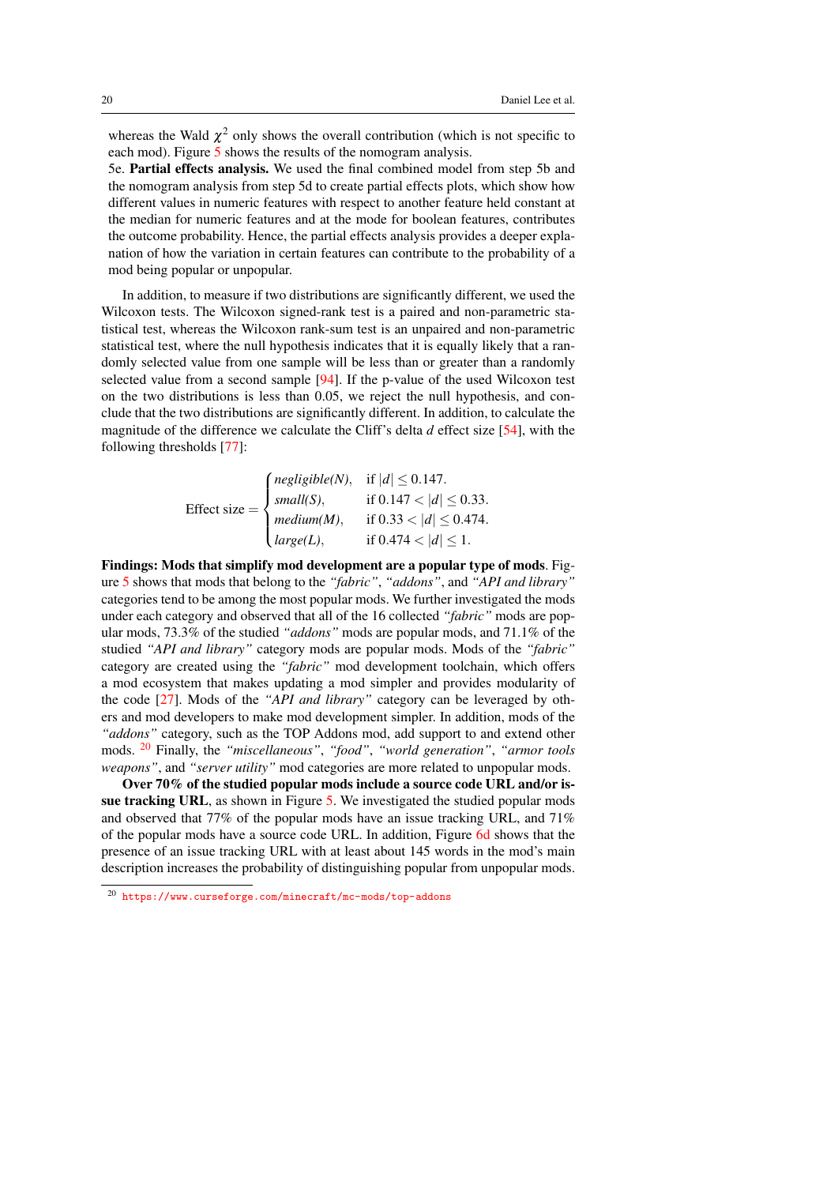whereas the Wald  $\chi^2$  only shows the overall contribution (which is not specific to each mod). Figure [5](#page-20-0) shows the results of the nomogram analysis.

5e. Partial effects analysis. We used the final combined model from step 5b and the nomogram analysis from step 5d to create partial effects plots, which show how different values in numeric features with respect to another feature held constant at the median for numeric features and at the mode for boolean features, contributes the outcome probability. Hence, the partial effects analysis provides a deeper explanation of how the variation in certain features can contribute to the probability of a mod being popular or unpopular.

In addition, to measure if two distributions are significantly different, we used the Wilcoxon tests. The Wilcoxon signed-rank test is a paired and non-parametric statistical test, whereas the Wilcoxon rank-sum test is an unpaired and non-parametric statistical test, where the null hypothesis indicates that it is equally likely that a randomly selected value from one sample will be less than or greater than a randomly selected value from a second sample [\[94\]](#page-30-15). If the p-value of the used Wilcoxon test on the two distributions is less than 0.05, we reject the null hypothesis, and conclude that the two distributions are significantly different. In addition, to calculate the magnitude of the difference we calculate the Cliff's delta *d* effect size [\[54\]](#page-28-14), with the following thresholds [\[77\]](#page-29-13):

Effect size = 
$$
\begin{cases} negligible(N), & \text{if } |d| \leq 0.147. \\ small(S), & \text{if } 0.147 < |d| \leq 0.33. \\ medium(M), & \text{if } 0.33 < |d| \leq 0.474. \\ large(L), & \text{if } 0.474 < |d| \leq 1. \end{cases}
$$

Findings: Mods that simplify mod development are a popular type of mods. Figure [5](#page-20-0) shows that mods that belong to the *"fabric"*, *"addons"*, and *"API and library"* categories tend to be among the most popular mods. We further investigated the mods under each category and observed that all of the 16 collected *"fabric"* mods are popular mods, 73.3% of the studied *"addons"* mods are popular mods, and 71.1% of the studied *"API and library"* category mods are popular mods. Mods of the *"fabric"* category are created using the *"fabric"* mod development toolchain, which offers a mod ecosystem that makes updating a mod simpler and provides modularity of the code [\[27\]](#page-26-17). Mods of the *"API and library"* category can be leveraged by others and mod developers to make mod development simpler. In addition, mods of the *"addons"* category, such as the TOP Addons mod, add support to and extend other mods. [20](#page-19-0) Finally, the *"miscellaneous"*, *"food"*, *"world generation"*, *"armor tools weapons"*, and *"server utility"* mod categories are more related to unpopular mods.

Over 70% of the studied popular mods include a source code URL and/or issue tracking URL, as shown in Figure [5.](#page-20-0) We investigated the studied popular mods and observed that 77% of the popular mods have an issue tracking URL, and 71% of the popular mods have a source code URL. In addition, Figure [6d](#page-21-0) shows that the presence of an issue tracking URL with at least about 145 words in the mod's main description increases the probability of distinguishing popular from unpopular mods.

<span id="page-19-0"></span><sup>20</sup> <https://www.curseforge.com/minecraft/mc-mods/top-addons>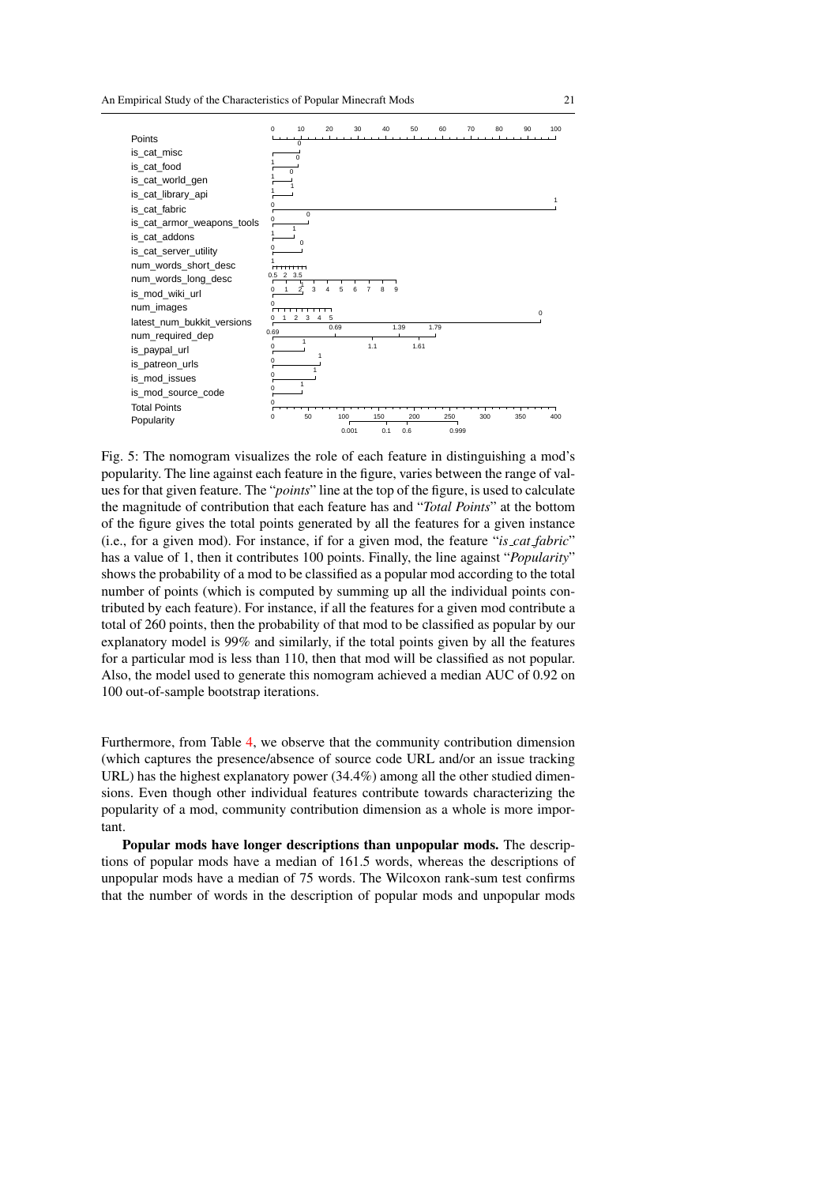<span id="page-20-0"></span>

Fig. 5: The nomogram visualizes the role of each feature in distinguishing a mod's popularity. The line against each feature in the figure, varies between the range of values for that given feature. The "*points*" line at the top of the figure, is used to calculate the magnitude of contribution that each feature has and "*Total Points*" at the bottom of the figure gives the total points generated by all the features for a given instance (i.e., for a given mod). For instance, if for a given mod, the feature "*is cat fabric*" has a value of 1, then it contributes 100 points. Finally, the line against "*Popularity*" shows the probability of a mod to be classified as a popular mod according to the total number of points (which is computed by summing up all the individual points contributed by each feature). For instance, if all the features for a given mod contribute a total of 260 points, then the probability of that mod to be classified as popular by our explanatory model is 99% and similarly, if the total points given by all the features for a particular mod is less than 110, then that mod will be classified as not popular. Also, the model used to generate this nomogram achieved a median AUC of 0.92 on 100 out-of-sample bootstrap iterations.

Furthermore, from Table [4,](#page-18-0) we observe that the community contribution dimension (which captures the presence/absence of source code URL and/or an issue tracking URL) has the highest explanatory power (34.4%) among all the other studied dimensions. Even though other individual features contribute towards characterizing the popularity of a mod, community contribution dimension as a whole is more important.

Popular mods have longer descriptions than unpopular mods. The descriptions of popular mods have a median of 161.5 words, whereas the descriptions of unpopular mods have a median of 75 words. The Wilcoxon rank-sum test confirms that the number of words in the description of popular mods and unpopular mods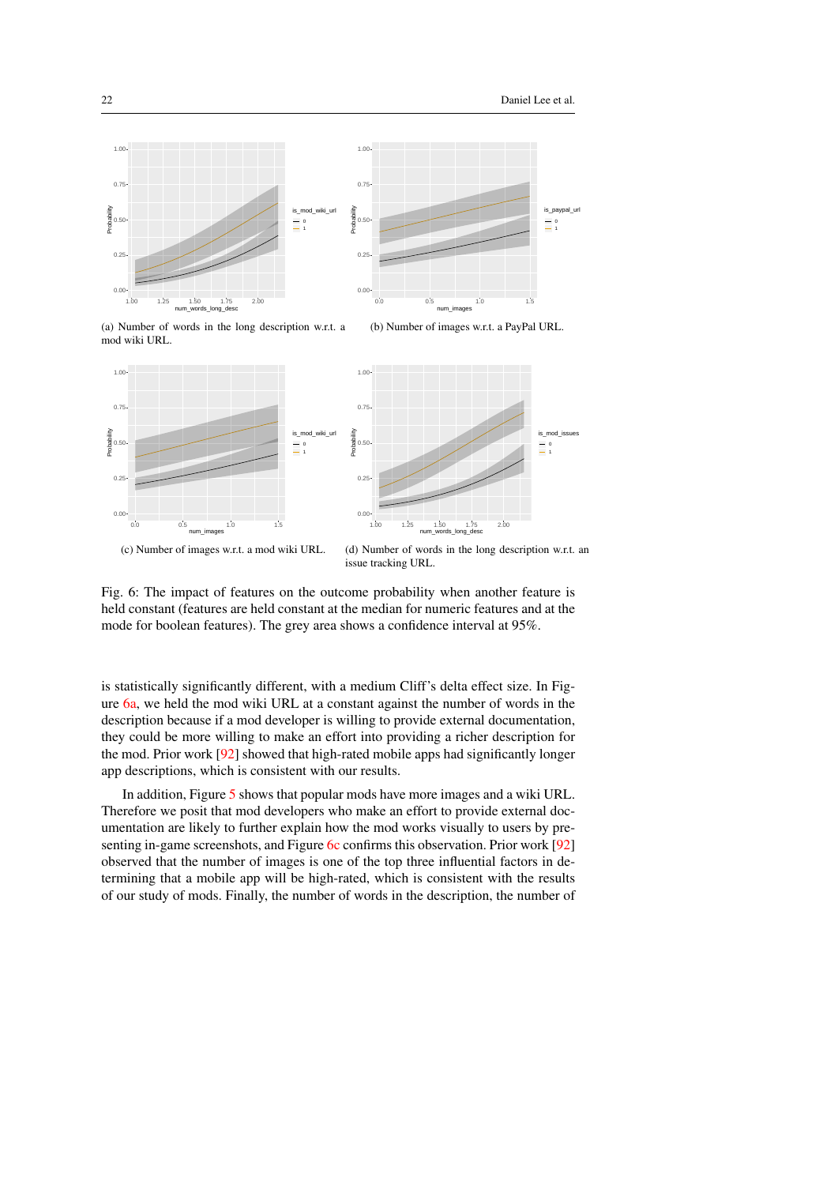<span id="page-21-1"></span>

<span id="page-21-3"></span>(a) Number of words in the long description w.r.t. a mod wiki URL.

<span id="page-21-2"></span>

(c) Number of images w.r.t. a mod wiki URL.

<span id="page-21-0"></span>(d) Number of words in the long description w.r.t. an issue tracking URL.

Fig. 6: The impact of features on the outcome probability when another feature is held constant (features are held constant at the median for numeric features and at the mode for boolean features). The grey area shows a confidence interval at 95%.

is statistically significantly different, with a medium Cliff's delta effect size. In Figure [6a,](#page-21-1) we held the mod wiki URL at a constant against the number of words in the description because if a mod developer is willing to provide external documentation, they could be more willing to make an effort into providing a richer description for the mod. Prior work [\[92\]](#page-30-2) showed that high-rated mobile apps had significantly longer app descriptions, which is consistent with our results.

In addition, Figure [5](#page-20-0) shows that popular mods have more images and a wiki URL. Therefore we posit that mod developers who make an effort to provide external documentation are likely to further explain how the mod works visually to users by presenting in-game screenshots, and Figure [6c](#page-21-2) confirms this observation. Prior work [\[92\]](#page-30-2) observed that the number of images is one of the top three influential factors in determining that a mobile app will be high-rated, which is consistent with the results of our study of mods. Finally, the number of words in the description, the number of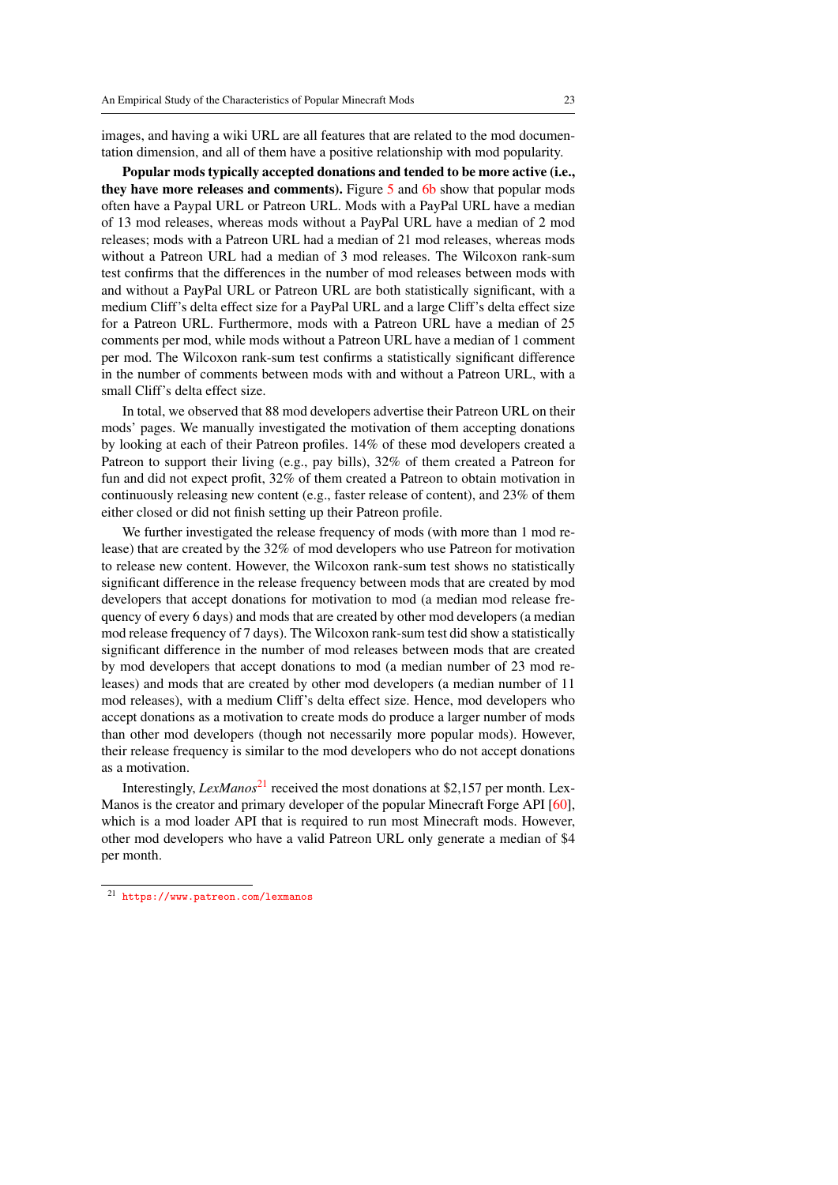images, and having a wiki URL are all features that are related to the mod documentation dimension, and all of them have a positive relationship with mod popularity.

Popular mods typically accepted donations and tended to be more active (i.e., they have more releases and comments). Figure [5](#page-20-0) and [6b](#page-21-3) show that popular mods often have a Paypal URL or Patreon URL. Mods with a PayPal URL have a median of 13 mod releases, whereas mods without a PayPal URL have a median of 2 mod releases; mods with a Patreon URL had a median of 21 mod releases, whereas mods without a Patreon URL had a median of 3 mod releases. The Wilcoxon rank-sum test confirms that the differences in the number of mod releases between mods with and without a PayPal URL or Patreon URL are both statistically significant, with a medium Cliff's delta effect size for a PayPal URL and a large Cliff's delta effect size for a Patreon URL. Furthermore, mods with a Patreon URL have a median of 25 comments per mod, while mods without a Patreon URL have a median of 1 comment per mod. The Wilcoxon rank-sum test confirms a statistically significant difference in the number of comments between mods with and without a Patreon URL, with a small Cliff's delta effect size.

In total, we observed that 88 mod developers advertise their Patreon URL on their mods' pages. We manually investigated the motivation of them accepting donations by looking at each of their Patreon profiles. 14% of these mod developers created a Patreon to support their living (e.g., pay bills), 32% of them created a Patreon for fun and did not expect profit, 32% of them created a Patreon to obtain motivation in continuously releasing new content (e.g., faster release of content), and 23% of them either closed or did not finish setting up their Patreon profile.

We further investigated the release frequency of mods (with more than 1 mod release) that are created by the 32% of mod developers who use Patreon for motivation to release new content. However, the Wilcoxon rank-sum test shows no statistically significant difference in the release frequency between mods that are created by mod developers that accept donations for motivation to mod (a median mod release frequency of every 6 days) and mods that are created by other mod developers (a median mod release frequency of 7 days). The Wilcoxon rank-sum test did show a statistically significant difference in the number of mod releases between mods that are created by mod developers that accept donations to mod (a median number of 23 mod releases) and mods that are created by other mod developers (a median number of 11 mod releases), with a medium Cliff's delta effect size. Hence, mod developers who accept donations as a motivation to create mods do produce a larger number of mods than other mod developers (though not necessarily more popular mods). However, their release frequency is similar to the mod developers who do not accept donations as a motivation.

Interestingly, *LexManos*<sup>[21](#page-22-0)</sup> received the most donations at \$2,157 per month. Lex-Manos is the creator and primary developer of the popular Minecraft Forge API [\[60\]](#page-28-15), which is a mod loader API that is required to run most Minecraft mods. However, other mod developers who have a valid Patreon URL only generate a median of \$4 per month.

<span id="page-22-0"></span><sup>21</sup> <https://www.patreon.com/lexmanos>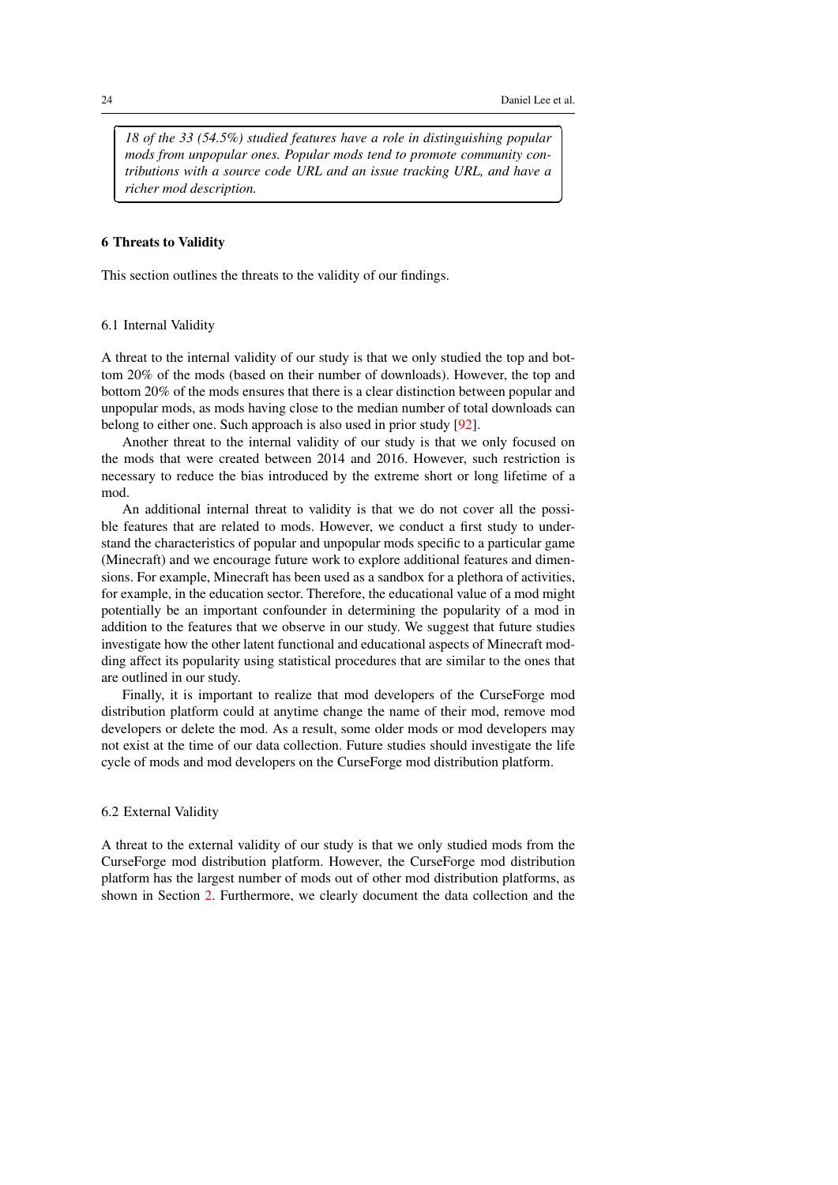<sup>1</sup>

✁

*18 of the 33 (54.5%) studied features have a role in distinguishing popular mods from unpopular ones. Popular mods tend to promote community contributions with a source code URL and an issue tracking URL, and have a richer mod description.*

## <span id="page-23-0"></span>6 Threats to Validity

This section outlines the threats to the validity of our findings.

## 6.1 Internal Validity

A threat to the internal validity of our study is that we only studied the top and bottom 20% of the mods (based on their number of downloads). However, the top and bottom 20% of the mods ensures that there is a clear distinction between popular and unpopular mods, as mods having close to the median number of total downloads can belong to either one. Such approach is also used in prior study [\[92\]](#page-30-2).

Another threat to the internal validity of our study is that we only focused on the mods that were created between 2014 and 2016. However, such restriction is necessary to reduce the bias introduced by the extreme short or long lifetime of a mod.

An additional internal threat to validity is that we do not cover all the possible features that are related to mods. However, we conduct a first study to understand the characteristics of popular and unpopular mods specific to a particular game (Minecraft) and we encourage future work to explore additional features and dimensions. For example, Minecraft has been used as a sandbox for a plethora of activities, for example, in the education sector. Therefore, the educational value of a mod might potentially be an important confounder in determining the popularity of a mod in addition to the features that we observe in our study. We suggest that future studies investigate how the other latent functional and educational aspects of Minecraft modding affect its popularity using statistical procedures that are similar to the ones that are outlined in our study.

Finally, it is important to realize that mod developers of the CurseForge mod distribution platform could at anytime change the name of their mod, remove mod developers or delete the mod. As a result, some older mods or mod developers may not exist at the time of our data collection. Future studies should investigate the life cycle of mods and mod developers on the CurseForge mod distribution platform.

## 6.2 External Validity

A threat to the external validity of our study is that we only studied mods from the CurseForge mod distribution platform. However, the CurseForge mod distribution platform has the largest number of mods out of other mod distribution platforms, as shown in Section [2.](#page-2-0) Furthermore, we clearly document the data collection and the

✄

 $\overline{a}$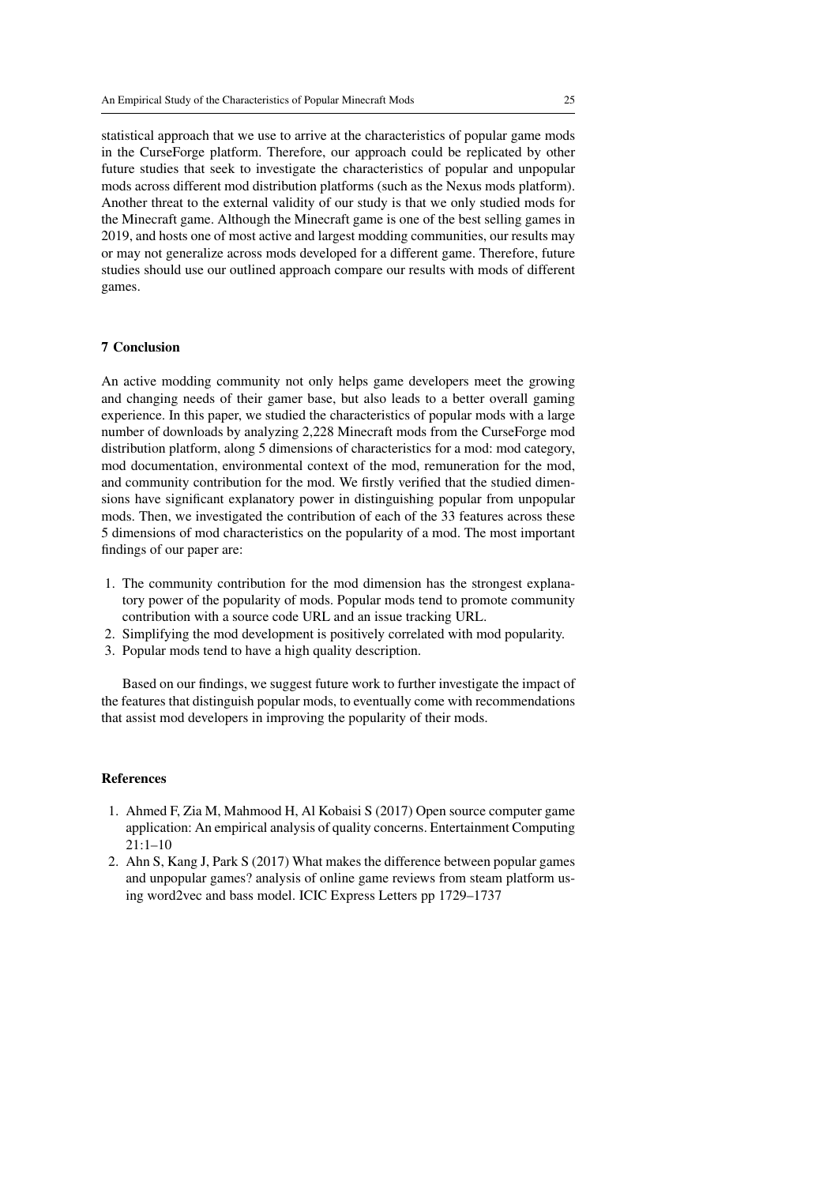statistical approach that we use to arrive at the characteristics of popular game mods in the CurseForge platform. Therefore, our approach could be replicated by other future studies that seek to investigate the characteristics of popular and unpopular mods across different mod distribution platforms (such as the Nexus mods platform). Another threat to the external validity of our study is that we only studied mods for the Minecraft game. Although the Minecraft game is one of the best selling games in 2019, and hosts one of most active and largest modding communities, our results may or may not generalize across mods developed for a different game. Therefore, future studies should use our outlined approach compare our results with mods of different games.

# <span id="page-24-0"></span>7 Conclusion

An active modding community not only helps game developers meet the growing and changing needs of their gamer base, but also leads to a better overall gaming experience. In this paper, we studied the characteristics of popular mods with a large number of downloads by analyzing 2,228 Minecraft mods from the CurseForge mod distribution platform, along 5 dimensions of characteristics for a mod: mod category, mod documentation, environmental context of the mod, remuneration for the mod, and community contribution for the mod. We firstly verified that the studied dimensions have significant explanatory power in distinguishing popular from unpopular mods. Then, we investigated the contribution of each of the 33 features across these 5 dimensions of mod characteristics on the popularity of a mod. The most important findings of our paper are:

- 1. The community contribution for the mod dimension has the strongest explanatory power of the popularity of mods. Popular mods tend to promote community contribution with a source code URL and an issue tracking URL.
- 2. Simplifying the mod development is positively correlated with mod popularity.
- 3. Popular mods tend to have a high quality description.

Based on our findings, we suggest future work to further investigate the impact of the features that distinguish popular mods, to eventually come with recommendations that assist mod developers in improving the popularity of their mods.

## References

- <span id="page-24-1"></span>1. Ahmed F, Zia M, Mahmood H, Al Kobaisi S (2017) Open source computer game application: An empirical analysis of quality concerns. Entertainment Computing 21:1–10
- <span id="page-24-2"></span>2. Ahn S, Kang J, Park S (2017) What makes the difference between popular games and unpopular games? analysis of online game reviews from steam platform using word2vec and bass model. ICIC Express Letters pp 1729–1737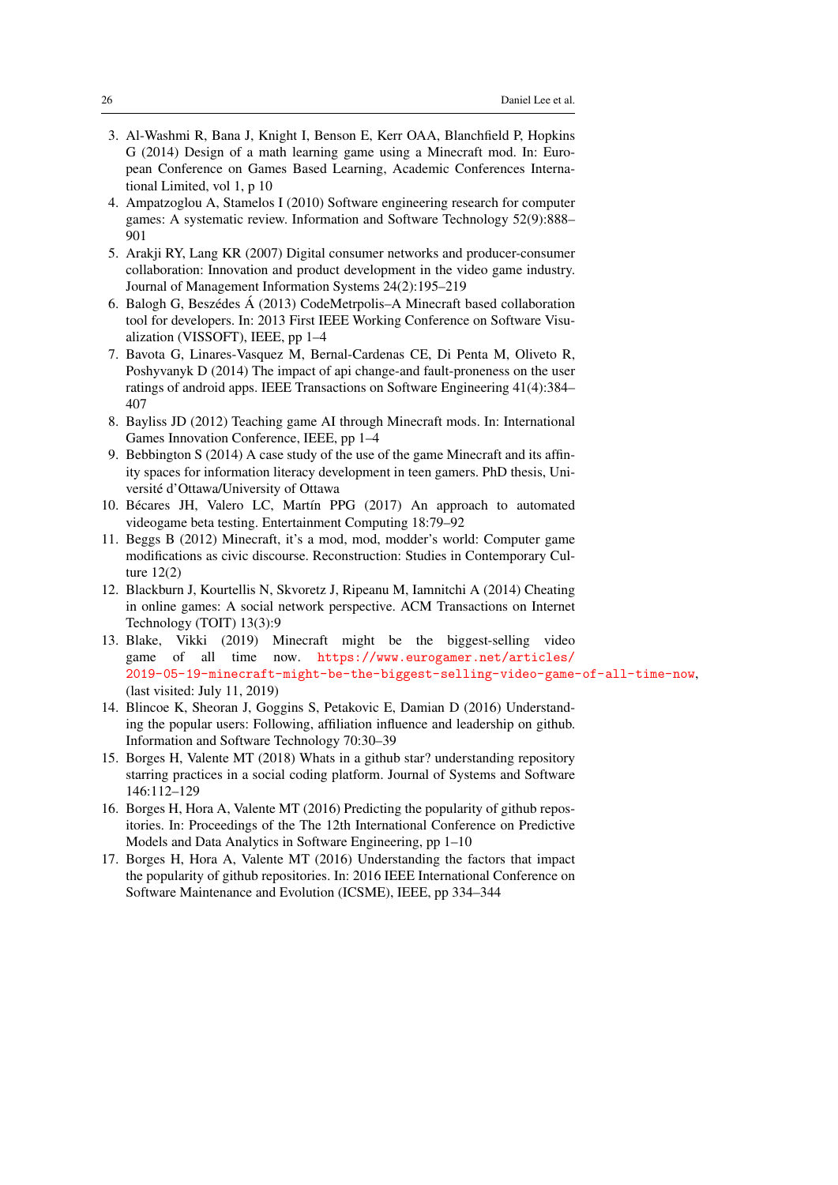- <span id="page-25-5"></span>3. Al-Washmi R, Bana J, Knight I, Benson E, Kerr OAA, Blanchfield P, Hopkins G (2014) Design of a math learning game using a Minecraft mod. In: European Conference on Games Based Learning, Academic Conferences International Limited, vol 1, p 10
- <span id="page-25-4"></span>4. Ampatzoglou A, Stamelos I (2010) Software engineering research for computer games: A systematic review. Information and Software Technology 52(9):888– 901
- <span id="page-25-1"></span>5. Arakji RY, Lang KR (2007) Digital consumer networks and producer-consumer collaboration: Innovation and product development in the video game industry. Journal of Management Information Systems 24(2):195–219
- <span id="page-25-8"></span>6. Balogh G, Beszédes  $\acute{A}$  (2013) CodeMetrpolis–A Minecraft based collaboration tool for developers. In: 2013 First IEEE Working Conference on Software Visualization (VISSOFT), IEEE, pp 1–4
- <span id="page-25-11"></span>7. Bavota G, Linares-Vasquez M, Bernal-Cardenas CE, Di Penta M, Oliveto R, Poshyvanyk D (2014) The impact of api change-and fault-proneness on the user ratings of android apps. IEEE Transactions on Software Engineering 41(4):384– 407
- <span id="page-25-6"></span>8. Bayliss JD (2012) Teaching game AI through Minecraft mods. In: International Games Innovation Conference, IEEE, pp 1–4
- <span id="page-25-7"></span>9. Bebbington S (2014) A case study of the use of the game Minecraft and its affinity spaces for information literacy development in teen gamers. PhD thesis, Universite d'Ottawa/University of Ottawa ´
- <span id="page-25-3"></span>10. Bécares JH, Valero LC, Martín PPG (2017) An approach to automated videogame beta testing. Entertainment Computing 18:79–92
- <span id="page-25-2"></span>11. Beggs B (2012) Minecraft, it's a mod, mod, modder's world: Computer game modifications as civic discourse. Reconstruction: Studies in Contemporary Culture 12(2)
- <span id="page-25-12"></span>12. Blackburn J, Kourtellis N, Skvoretz J, Ripeanu M, Iamnitchi A (2014) Cheating in online games: A social network perspective. ACM Transactions on Internet Technology (TOIT) 13(3):9
- <span id="page-25-0"></span>13. Blake, Vikki (2019) Minecraft might be the biggest-selling video game of all time now. [https://www.eurogamer.net/articles/](https://www.eurogamer.net/articles/2019-05-19-minecraft-might-be-the-biggest-selling-video-game-of-all-time-now) [2019-05-19-minecraft-might-be-the-biggest-selling-video-game-of-all-time-now](https://www.eurogamer.net/articles/2019-05-19-minecraft-might-be-the-biggest-selling-video-game-of-all-time-now), (last visited: July 11, 2019)
- <span id="page-25-9"></span>14. Blincoe K, Sheoran J, Goggins S, Petakovic E, Damian D (2016) Understanding the popular users: Following, affiliation influence and leadership on github. Information and Software Technology 70:30–39
- 15. Borges H, Valente MT (2018) Whats in a github star? understanding repository starring practices in a social coding platform. Journal of Systems and Software 146:112–129
- 16. Borges H, Hora A, Valente MT (2016) Predicting the popularity of github repositories. In: Proceedings of the The 12th International Conference on Predictive Models and Data Analytics in Software Engineering, pp 1–10
- <span id="page-25-10"></span>17. Borges H, Hora A, Valente MT (2016) Understanding the factors that impact the popularity of github repositories. In: 2016 IEEE International Conference on Software Maintenance and Evolution (ICSME), IEEE, pp 334–344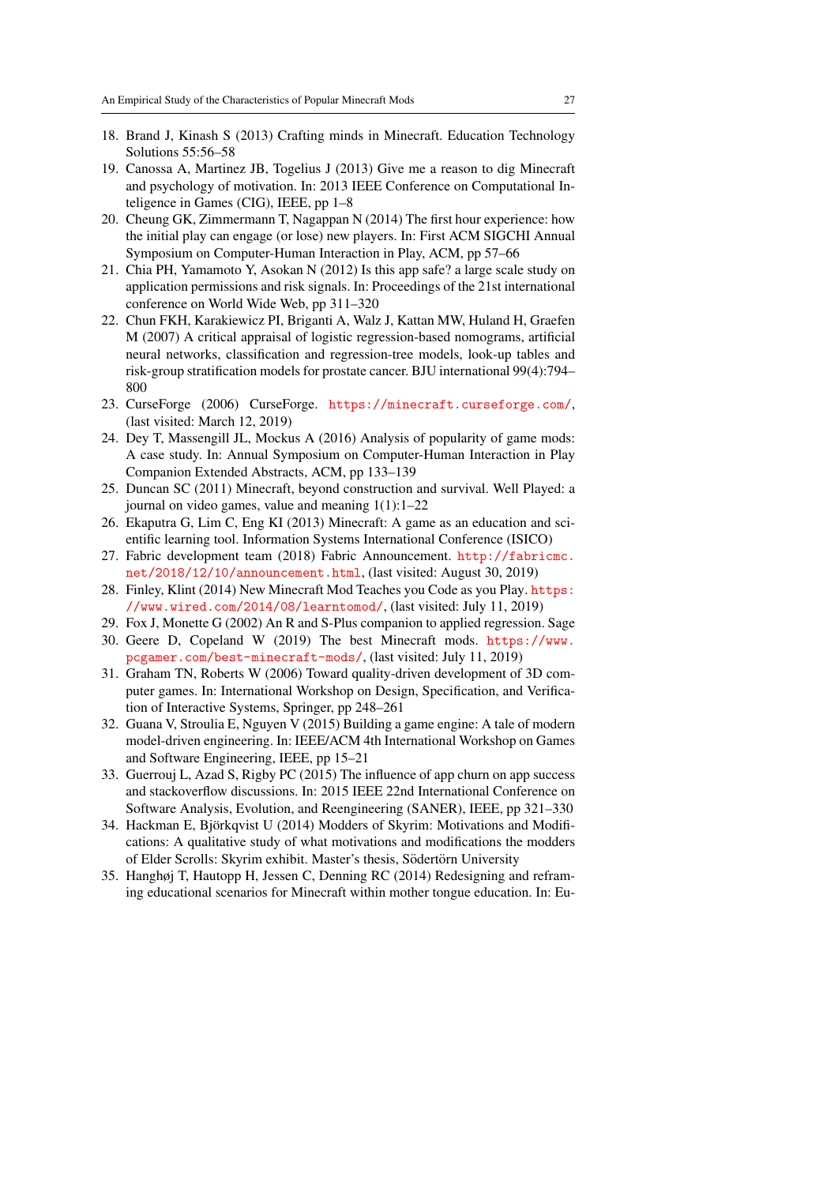- <span id="page-26-7"></span>18. Brand J, Kinash S (2013) Crafting minds in Minecraft. Education Technology Solutions 55:56–58
- <span id="page-26-11"></span>19. Canossa A, Martinez JB, Togelius J (2013) Give me a reason to dig Minecraft and psychology of motivation. In: 2013 IEEE Conference on Computational Inteligence in Games (CIG), IEEE, pp 1–8
- <span id="page-26-14"></span>20. Cheung GK, Zimmermann T, Nagappan N (2014) The first hour experience: how the initial play can engage (or lose) new players. In: First ACM SIGCHI Annual Symposium on Computer-Human Interaction in Play, ACM, pp 57–66
- <span id="page-26-12"></span>21. Chia PH, Yamamoto Y, Asokan N (2012) Is this app safe? a large scale study on application permissions and risk signals. In: Proceedings of the 21st international conference on World Wide Web, pp 311–320
- <span id="page-26-16"></span>22. Chun FKH, Karakiewicz PI, Briganti A, Walz J, Kattan MW, Huland H, Graefen M (2007) A critical appraisal of logistic regression-based nomograms, artificial neural networks, classification and regression-tree models, look-up tables and risk-group stratification models for prostate cancer. BJU international 99(4):794– 800
- <span id="page-26-3"></span>23. CurseForge (2006) CurseForge. <https://minecraft.curseforge.com/>, (last visited: March 12, 2019)
- <span id="page-26-4"></span>24. Dey T, Massengill JL, Mockus A (2016) Analysis of popularity of game mods: A case study. In: Annual Symposium on Computer-Human Interaction in Play Companion Extended Abstracts, ACM, pp 133–139
- <span id="page-26-8"></span>25. Duncan SC (2011) Minecraft, beyond construction and survival. Well Played: a journal on video games, value and meaning 1(1):1–22
- <span id="page-26-9"></span>26. Ekaputra G, Lim C, Eng KI (2013) Minecraft: A game as an education and scientific learning tool. Information Systems International Conference (ISICO)
- <span id="page-26-17"></span>27. Fabric development team (2018) Fabric Announcement. [http://fabricmc.](http://fabricmc.net/2018/12/10/announcement.html) [net/2018/12/10/announcement.html](http://fabricmc.net/2018/12/10/announcement.html), (last visited: August 30, 2019)
- <span id="page-26-1"></span>28. Finley, Klint (2014) New Minecraft Mod Teaches you Code as you Play. [https:](https://www.wired.com/2014/08/learntomod/) [//www.wired.com/2014/08/learntomod/](https://www.wired.com/2014/08/learntomod/), (last visited: July 11, 2019)
- <span id="page-26-15"></span>29. Fox J, Monette G (2002) An R and S-Plus companion to applied regression. Sage
- <span id="page-26-2"></span>30. Geere D, Copeland W (2019) The best Minecraft mods. [https://www.](https://www.pcgamer.com/best-minecraft-mods/) [pcgamer.com/best-minecraft-mods/](https://www.pcgamer.com/best-minecraft-mods/), (last visited: July 11, 2019)
- <span id="page-26-5"></span>31. Graham TN, Roberts W (2006) Toward quality-driven development of 3D computer games. In: International Workshop on Design, Specification, and Verification of Interactive Systems, Springer, pp 248–261
- <span id="page-26-6"></span>32. Guana V, Stroulia E, Nguyen V (2015) Building a game engine: A tale of modern model-driven engineering. In: IEEE/ACM 4th International Workshop on Games and Software Engineering, IEEE, pp 15–21
- <span id="page-26-13"></span>33. Guerrouj L, Azad S, Rigby PC (2015) The influence of app churn on app success and stackoverflow discussions. In: 2015 IEEE 22nd International Conference on Software Analysis, Evolution, and Reengineering (SANER), IEEE, pp 321–330
- <span id="page-26-0"></span>34. Hackman E, Bjorkqvist U (2014) Modders of Skyrim: Motivations and Modifi- ¨ cations: A qualitative study of what motivations and modifications the modders of Elder Scrolls: Skyrim exhibit. Master's thesis, Södertörn University
- <span id="page-26-10"></span>35. Hanghøj T, Hautopp H, Jessen C, Denning RC (2014) Redesigning and reframing educational scenarios for Minecraft within mother tongue education. In: Eu-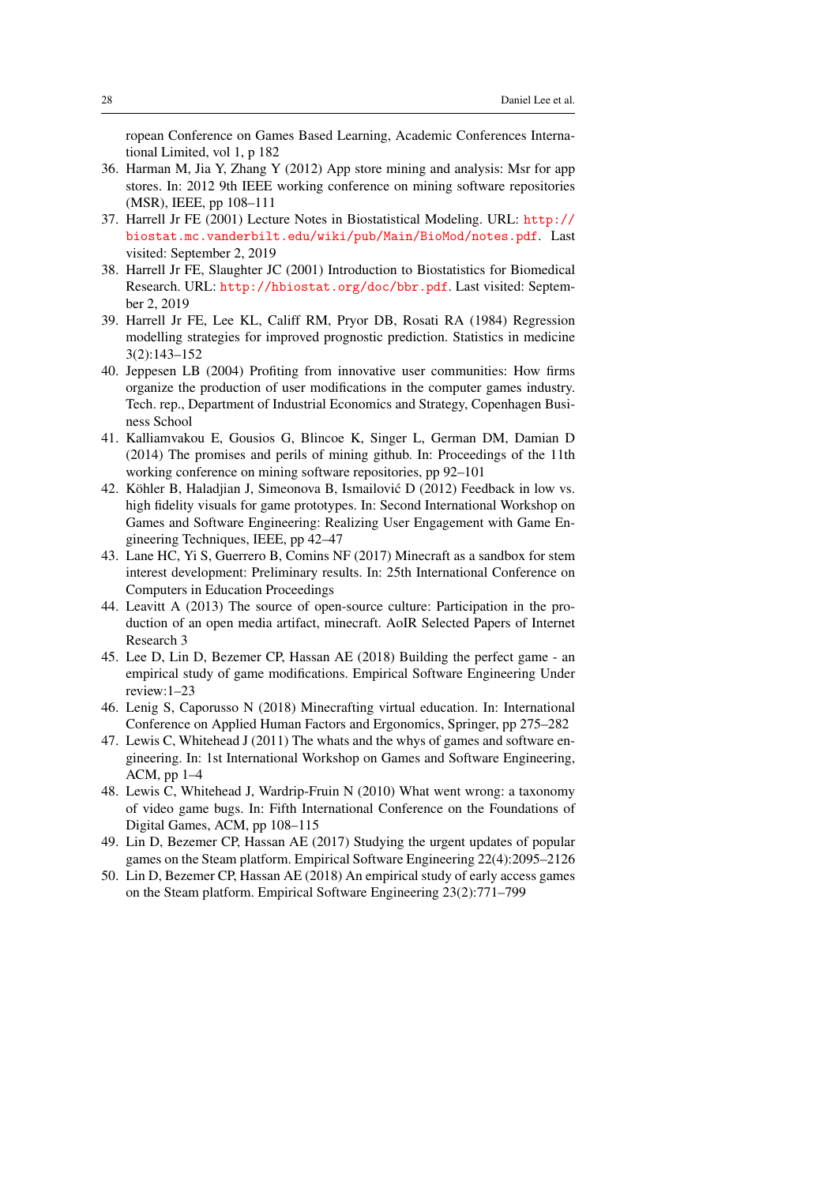ropean Conference on Games Based Learning, Academic Conferences International Limited, vol 1, p 182

- <span id="page-27-11"></span>36. Harman M, Jia Y, Zhang Y (2012) App store mining and analysis: Msr for app stores. In: 2012 9th IEEE working conference on mining software repositories (MSR), IEEE, pp 108–111
- <span id="page-27-14"></span>37. Harrell Jr FE (2001) Lecture Notes in Biostatistical Modeling. URL: [http://](http://biostat.mc.vanderbilt.edu/wiki/pub/Main/BioMod/notes.pdf) [biostat.mc.vanderbilt.edu/wiki/pub/Main/BioMod/notes.pdf](http://biostat.mc.vanderbilt.edu/wiki/pub/Main/BioMod/notes.pdf). Last visited: September 2, 2019
- <span id="page-27-12"></span>38. Harrell Jr FE, Slaughter JC (2001) Introduction to Biostatistics for Biomedical Research. URL: <http://hbiostat.org/doc/bbr.pdf>. Last visited: September 2, 2019
- <span id="page-27-13"></span>39. Harrell Jr FE, Lee KL, Califf RM, Pryor DB, Rosati RA (1984) Regression modelling strategies for improved prognostic prediction. Statistics in medicine 3(2):143–152
- <span id="page-27-1"></span>40. Jeppesen LB (2004) Profiting from innovative user communities: How firms organize the production of user modifications in the computer games industry. Tech. rep., Department of Industrial Economics and Strategy, Copenhagen Business School
- <span id="page-27-8"></span>41. Kalliamvakou E, Gousios G, Blincoe K, Singer L, German DM, Damian D (2014) The promises and perils of mining github. In: Proceedings of the 11th working conference on mining software repositories, pp 92–101
- <span id="page-27-4"></span>42. Köhler B, Haladjian J, Simeonova B, Ismailović  $D(2012)$  Feedback in low vs. high fidelity visuals for game prototypes. In: Second International Workshop on Games and Software Engineering: Realizing User Engagement with Game Engineering Techniques, IEEE, pp 42–47
- <span id="page-27-3"></span>43. Lane HC, Yi S, Guerrero B, Comins NF (2017) Minecraft as a sandbox for stem interest development: Preliminary results. In: 25th International Conference on Computers in Education Proceedings
- <span id="page-27-2"></span>44. Leavitt A (2013) The source of open-source culture: Participation in the production of an open media artifact, minecraft. AoIR Selected Papers of Internet Research 3
- <span id="page-27-0"></span>45. Lee D, Lin D, Bezemer CP, Hassan AE (2018) Building the perfect game - an empirical study of game modifications. Empirical Software Engineering Under review:1–23
- <span id="page-27-7"></span>46. Lenig S, Caporusso N (2018) Minecrafting virtual education. In: International Conference on Applied Human Factors and Ergonomics, Springer, pp 275–282
- <span id="page-27-6"></span>47. Lewis C, Whitehead J (2011) The whats and the whys of games and software engineering. In: 1st International Workshop on Games and Software Engineering, ACM, pp 1–4
- <span id="page-27-5"></span>48. Lewis C, Whitehead J, Wardrip-Fruin N (2010) What went wrong: a taxonomy of video game bugs. In: Fifth International Conference on the Foundations of Digital Games, ACM, pp 108–115
- <span id="page-27-9"></span>49. Lin D, Bezemer CP, Hassan AE (2017) Studying the urgent updates of popular games on the Steam platform. Empirical Software Engineering 22(4):2095–2126
- <span id="page-27-10"></span>50. Lin D, Bezemer CP, Hassan AE (2018) An empirical study of early access games on the Steam platform. Empirical Software Engineering 23(2):771–799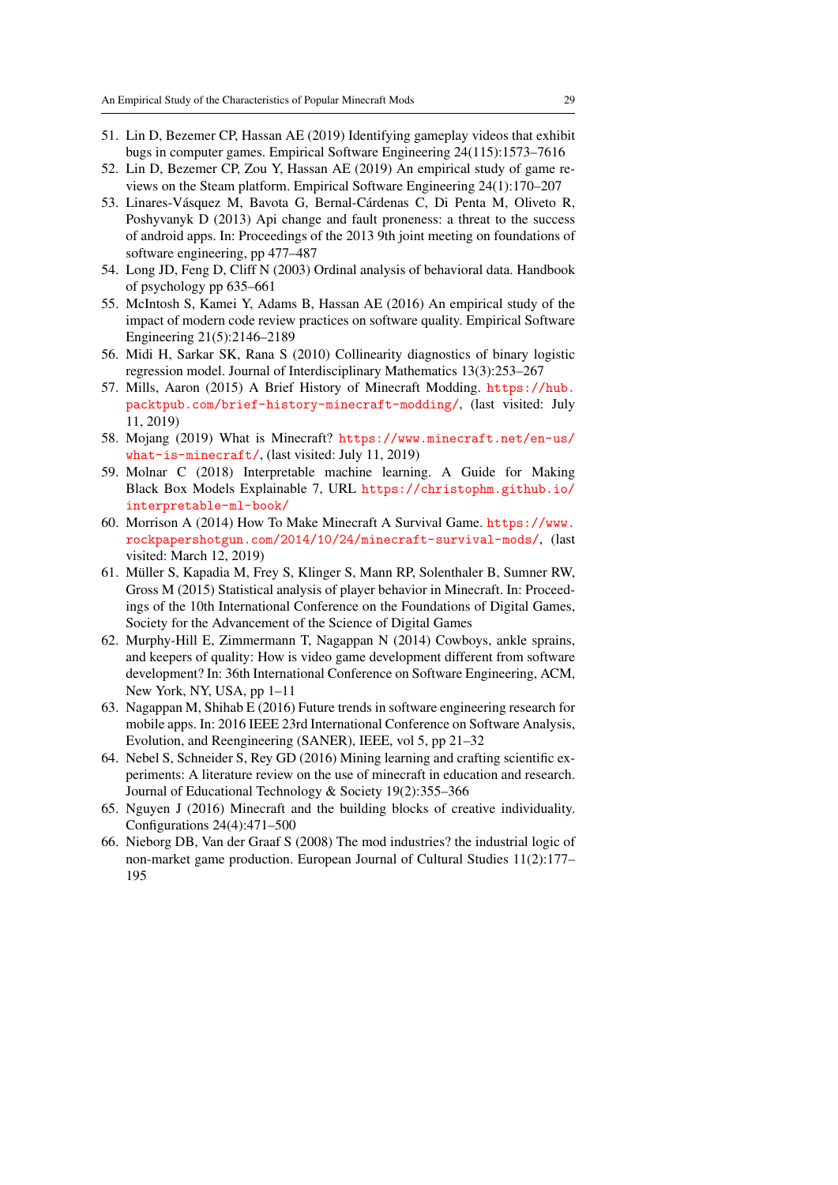- <span id="page-28-4"></span>51. Lin D, Bezemer CP, Hassan AE (2019) Identifying gameplay videos that exhibit bugs in computer games. Empirical Software Engineering 24(115):1573–7616
- <span id="page-28-8"></span>52. Lin D, Bezemer CP, Zou Y, Hassan AE (2019) An empirical study of game reviews on the Steam platform. Empirical Software Engineering 24(1):170–207
- <span id="page-28-7"></span>53. Linares-Vásquez M, Bavota G, Bernal-Cárdenas C, Di Penta M, Oliveto R, Poshyvanyk D (2013) Api change and fault proneness: a threat to the success of android apps. In: Proceedings of the 2013 9th joint meeting on foundations of software engineering, pp 477–487
- <span id="page-28-14"></span>54. Long JD, Feng D, Cliff N (2003) Ordinal analysis of behavioral data. Handbook of psychology pp 635–661
- <span id="page-28-12"></span>55. McIntosh S, Kamei Y, Adams B, Hassan AE (2016) An empirical study of the impact of modern code review practices on software quality. Empirical Software Engineering 21(5):2146–2189
- <span id="page-28-13"></span>56. Midi H, Sarkar SK, Rana S (2010) Collinearity diagnostics of binary logistic regression model. Journal of Interdisciplinary Mathematics 13(3):253–267
- <span id="page-28-0"></span>57. Mills, Aaron (2015) A Brief History of Minecraft Modding. [https://hub.](https://hub.packtpub.com/brief-history-minecraft-modding/) [packtpub.com/brief-history-minecraft-modding/](https://hub.packtpub.com/brief-history-minecraft-modding/), (last visited: July 11, 2019)
- <span id="page-28-1"></span>58. Mojang (2019) What is Minecraft? [https://www.minecraft.net/en-us/](https://www.minecraft.net/en-us/what-is-minecraft/) [what-is-minecraft/](https://www.minecraft.net/en-us/what-is-minecraft/), (last visited: July 11, 2019)
- <span id="page-28-11"></span>59. Molnar C (2018) Interpretable machine learning. A Guide for Making Black Box Models Explainable 7, URL [https://christophm.github.io/](https://christophm.github.io/interpretable-ml-book/) [interpretable-ml-book/](https://christophm.github.io/interpretable-ml-book/)
- <span id="page-28-15"></span>60. Morrison A (2014) How To Make Minecraft A Survival Game. [https://www.](https://www.rockpapershotgun.com/2014/10/24/minecraft-survival-mods/) [rockpapershotgun.com/2014/10/24/minecraft-survival-mods/](https://www.rockpapershotgun.com/2014/10/24/minecraft-survival-mods/), (last visited: March 12, 2019)
- <span id="page-28-6"></span>61. Muller S, Kapadia M, Frey S, Klinger S, Mann RP, Solenthaler B, Sumner RW, ¨ Gross M (2015) Statistical analysis of player behavior in Minecraft. In: Proceedings of the 10th International Conference on the Foundations of Digital Games, Society for the Advancement of the Science of Digital Games
- <span id="page-28-9"></span>62. Murphy-Hill E, Zimmermann T, Nagappan N (2014) Cowboys, ankle sprains, and keepers of quality: How is video game development different from software development? In: 36th International Conference on Software Engineering, ACM, New York, NY, USA, pp 1–11
- <span id="page-28-10"></span>63. Nagappan M, Shihab E (2016) Future trends in software engineering research for mobile apps. In: 2016 IEEE 23rd International Conference on Software Analysis, Evolution, and Reengineering (SANER), IEEE, vol 5, pp 21–32
- <span id="page-28-5"></span>64. Nebel S, Schneider S, Rey GD (2016) Mining learning and crafting scientific experiments: A literature review on the use of minecraft in education and research. Journal of Educational Technology & Society 19(2):355–366
- <span id="page-28-3"></span>65. Nguyen J (2016) Minecraft and the building blocks of creative individuality. Configurations 24(4):471–500
- <span id="page-28-2"></span>66. Nieborg DB, Van der Graaf S (2008) The mod industries? the industrial logic of non-market game production. European Journal of Cultural Studies 11(2):177– 195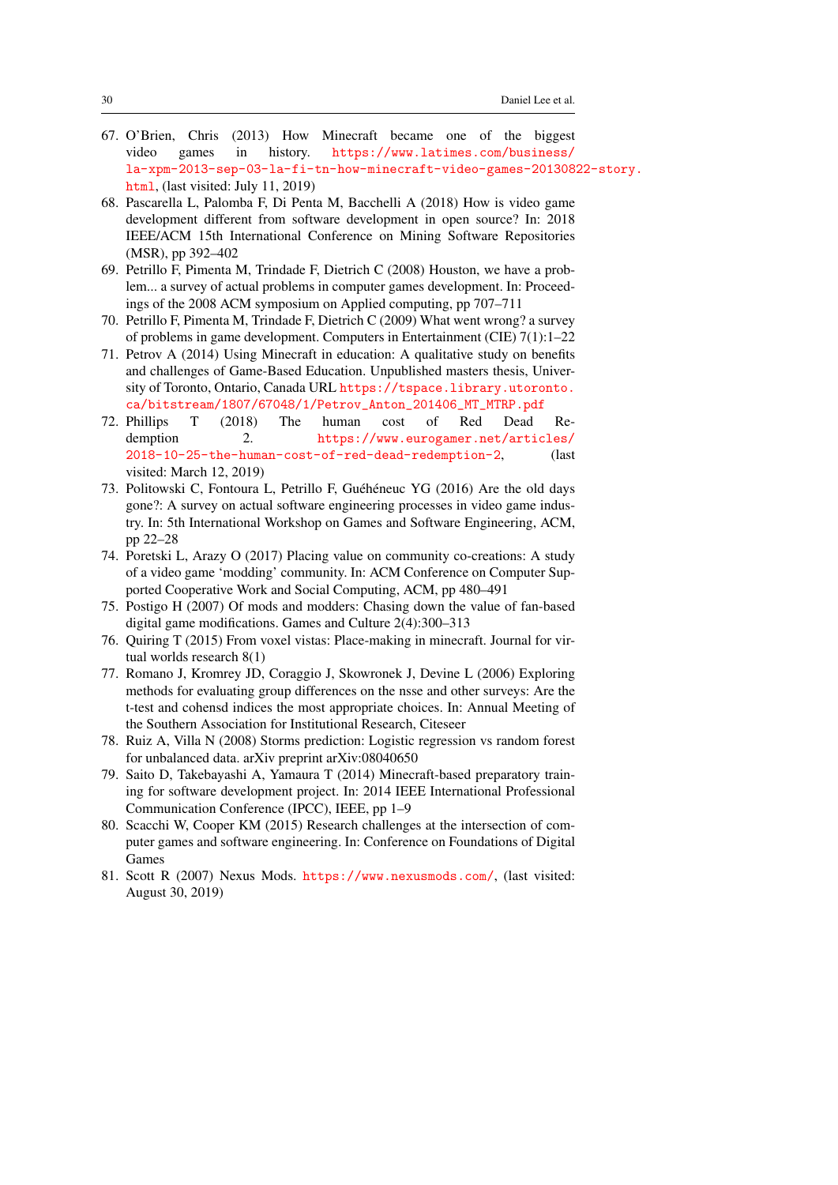- <span id="page-29-3"></span>67. O'Brien, Chris (2013) How Minecraft became one of the biggest video games in history. [https://www.latimes.com/business/](https://www.latimes.com/business/la-xpm-2013-sep-03-la-fi-tn-how-minecraft-video-games-20130822-story.html) [la-xpm-2013-sep-03-la-fi-tn-how-minecraft-video-games-2013082](https://www.latimes.com/business/la-xpm-2013-sep-03-la-fi-tn-how-minecraft-video-games-20130822-story.html)2-story. [html](https://www.latimes.com/business/la-xpm-2013-sep-03-la-fi-tn-how-minecraft-video-games-20130822-story.html), (last visited: July 11, 2019)
- <span id="page-29-4"></span>68. Pascarella L, Palomba F, Di Penta M, Bacchelli A (2018) How is video game development different from software development in open source? In: 2018 IEEE/ACM 15th International Conference on Mining Software Repositories (MSR), pp 392–402
- 69. Petrillo F, Pimenta M, Trindade F, Dietrich C (2008) Houston, we have a problem... a survey of actual problems in computer games development. In: Proceedings of the 2008 ACM symposium on Applied computing, pp 707–711
- <span id="page-29-10"></span>70. Petrillo F, Pimenta M, Trindade F, Dietrich C (2009) What went wrong? a survey of problems in game development. Computers in Entertainment (CIE) 7(1):1–22
- <span id="page-29-7"></span>71. Petrov A (2014) Using Minecraft in education: A qualitative study on benefits and challenges of Game-Based Education. Unpublished masters thesis, University of Toronto, Ontario, Canada URL [https://tspace.library.utoronto.](https://tspace.library.utoronto.ca/bitstream/1807/67048/1/Petrov_Anton_201406_MT_MTRP.pdf) [ca/bitstream/1807/67048/1/Petrov\\_Anton\\_201406\\_MT\\_MTRP.pdf](https://tspace.library.utoronto.ca/bitstream/1807/67048/1/Petrov_Anton_201406_MT_MTRP.pdf)
- <span id="page-29-0"></span>72. Phillips T (2018) The human cost of Red Dead Redemption 2. [https://www.eurogamer.net/articles/](https://www.eurogamer.net/articles/2018-10-25-the-human-cost-of-red-dead-redemption-2) [2018-10-25-the-human-cost-of-red-dead-redemption-2](https://www.eurogamer.net/articles/2018-10-25-the-human-cost-of-red-dead-redemption-2), (last visited: March 12, 2019)
- <span id="page-29-5"></span>73. Politowski C, Fontoura L, Petrillo F, Guéhéneuc YG (2016) Are the old days gone?: A survey on actual software engineering processes in video game industry. In: 5th International Workshop on Games and Software Engineering, ACM, pp 22–28
- <span id="page-29-2"></span>74. Poretski L, Arazy O (2017) Placing value on community co-creations: A study of a video game 'modding' community. In: ACM Conference on Computer Supported Cooperative Work and Social Computing, ACM, pp 480–491
- <span id="page-29-11"></span>75. Postigo H (2007) Of mods and modders: Chasing down the value of fan-based digital game modifications. Games and Culture 2(4):300–313
- <span id="page-29-8"></span>76. Quiring T (2015) From voxel vistas: Place-making in minecraft. Journal for virtual worlds research 8(1)
- <span id="page-29-13"></span>77. Romano J, Kromrey JD, Coraggio J, Skowronek J, Devine L (2006) Exploring methods for evaluating group differences on the nsse and other surveys: Are the t-test and cohensd indices the most appropriate choices. In: Annual Meeting of the Southern Association for Institutional Research, Citeseer
- <span id="page-29-12"></span>78. Ruiz A, Villa N (2008) Storms prediction: Logistic regression vs random forest for unbalanced data. arXiv preprint arXiv:08040650
- <span id="page-29-9"></span>79. Saito D, Takebayashi A, Yamaura T (2014) Minecraft-based preparatory training for software development project. In: 2014 IEEE International Professional Communication Conference (IPCC), IEEE, pp 1–9
- <span id="page-29-6"></span>80. Scacchi W, Cooper KM (2015) Research challenges at the intersection of computer games and software engineering. In: Conference on Foundations of Digital Games
- <span id="page-29-1"></span>81. Scott R (2007) Nexus Mods. <https://www.nexusmods.com/>, (last visited: August 30, 2019)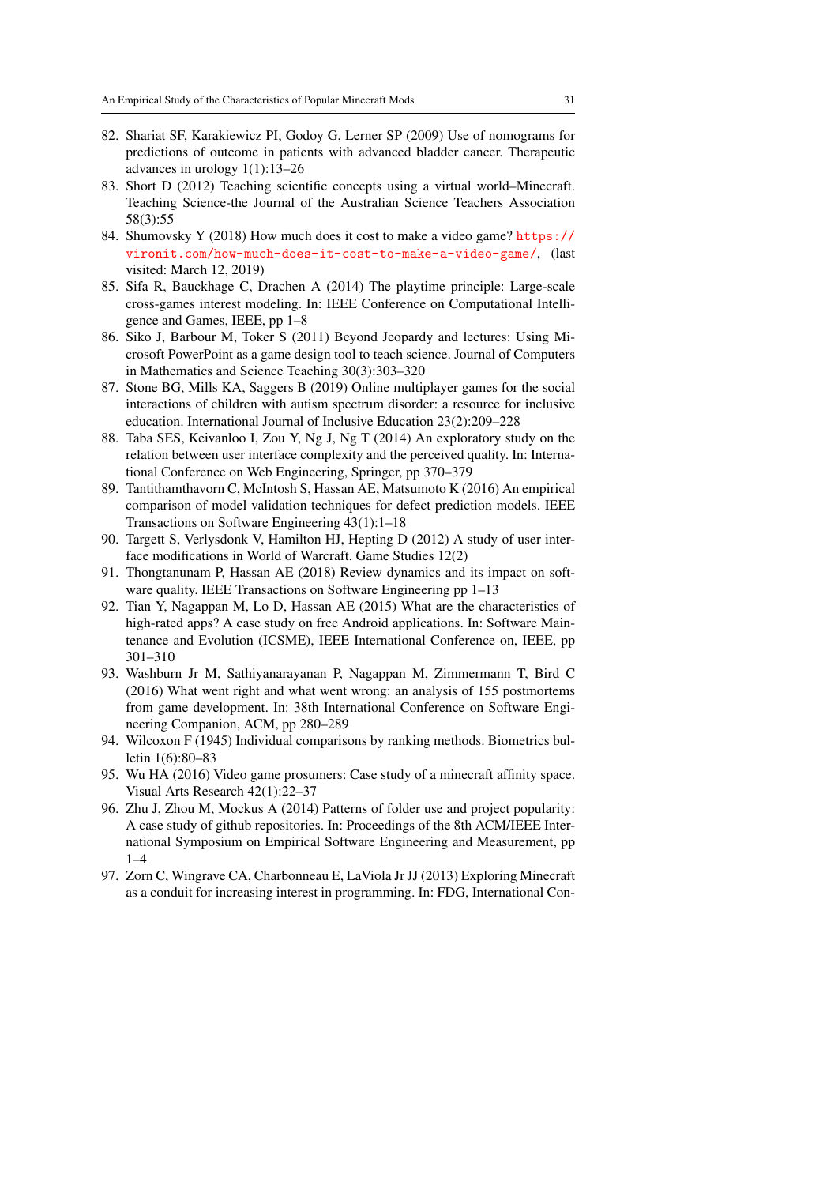- <span id="page-30-14"></span>82. Shariat SF, Karakiewicz PI, Godoy G, Lerner SP (2009) Use of nomograms for predictions of outcome in patients with advanced bladder cancer. Therapeutic advances in urology 1(1):13–26
- <span id="page-30-6"></span>83. Short D (2012) Teaching scientific concepts using a virtual world–Minecraft. Teaching Science-the Journal of the Australian Science Teachers Association 58(3):55
- <span id="page-30-0"></span>84. Shumovsky Y (2018) How much does it cost to make a video game? [https://](https://vironit.com/how-much-does-it-cost-to-make-a-video-game/) [vironit.com/how-much-does-it-cost-to-make-a-video-game/](https://vironit.com/how-much-does-it-cost-to-make-a-video-game/), (last visited: March 12, 2019)
- <span id="page-30-11"></span>85. Sifa R, Bauckhage C, Drachen A (2014) The playtime principle: Large-scale cross-games interest modeling. In: IEEE Conference on Computational Intelligence and Games, IEEE, pp 1–8
- <span id="page-30-7"></span>86. Siko J, Barbour M, Toker S (2011) Beyond Jeopardy and lectures: Using Microsoft PowerPoint as a game design tool to teach science. Journal of Computers in Mathematics and Science Teaching 30(3):303–320
- <span id="page-30-8"></span>87. Stone BG, Mills KA, Saggers B (2019) Online multiplayer games for the social interactions of children with autism spectrum disorder: a resource for inclusive education. International Journal of Inclusive Education 23(2):209–228
- <span id="page-30-10"></span>88. Taba SES, Keivanloo I, Zou Y, Ng J, Ng T (2014) An exploratory study on the relation between user interface complexity and the perceived quality. In: International Conference on Web Engineering, Springer, pp 370–379
- <span id="page-30-12"></span>89. Tantithamthavorn C, McIntosh S, Hassan AE, Matsumoto K (2016) An empirical comparison of model validation techniques for defect prediction models. IEEE Transactions on Software Engineering 43(1):1–18
- <span id="page-30-3"></span>90. Targett S, Verlysdonk V, Hamilton HJ, Hepting D (2012) A study of user interface modifications in World of Warcraft. Game Studies 12(2)
- <span id="page-30-13"></span>91. Thongtanunam P, Hassan AE (2018) Review dynamics and its impact on software quality. IEEE Transactions on Software Engineering pp 1–13
- <span id="page-30-2"></span>92. Tian Y, Nagappan M, Lo D, Hassan AE (2015) What are the characteristics of high-rated apps? A case study on free Android applications. In: Software Maintenance and Evolution (ICSME), IEEE International Conference on, IEEE, pp 301–310
- <span id="page-30-5"></span>93. Washburn Jr M, Sathiyanarayanan P, Nagappan M, Zimmermann T, Bird C (2016) What went right and what went wrong: an analysis of 155 postmortems from game development. In: 38th International Conference on Software Engineering Companion, ACM, pp 280–289
- <span id="page-30-15"></span>94. Wilcoxon F (1945) Individual comparisons by ranking methods. Biometrics bulletin 1(6):80–83
- <span id="page-30-4"></span>95. Wu HA (2016) Video game prosumers: Case study of a minecraft affinity space. Visual Arts Research 42(1):22–37
- <span id="page-30-9"></span>96. Zhu J, Zhou M, Mockus A (2014) Patterns of folder use and project popularity: A case study of github repositories. In: Proceedings of the 8th ACM/IEEE International Symposium on Empirical Software Engineering and Measurement, pp  $1 - 4$
- <span id="page-30-1"></span>97. Zorn C, Wingrave CA, Charbonneau E, LaViola Jr JJ (2013) Exploring Minecraft as a conduit for increasing interest in programming. In: FDG, International Con-